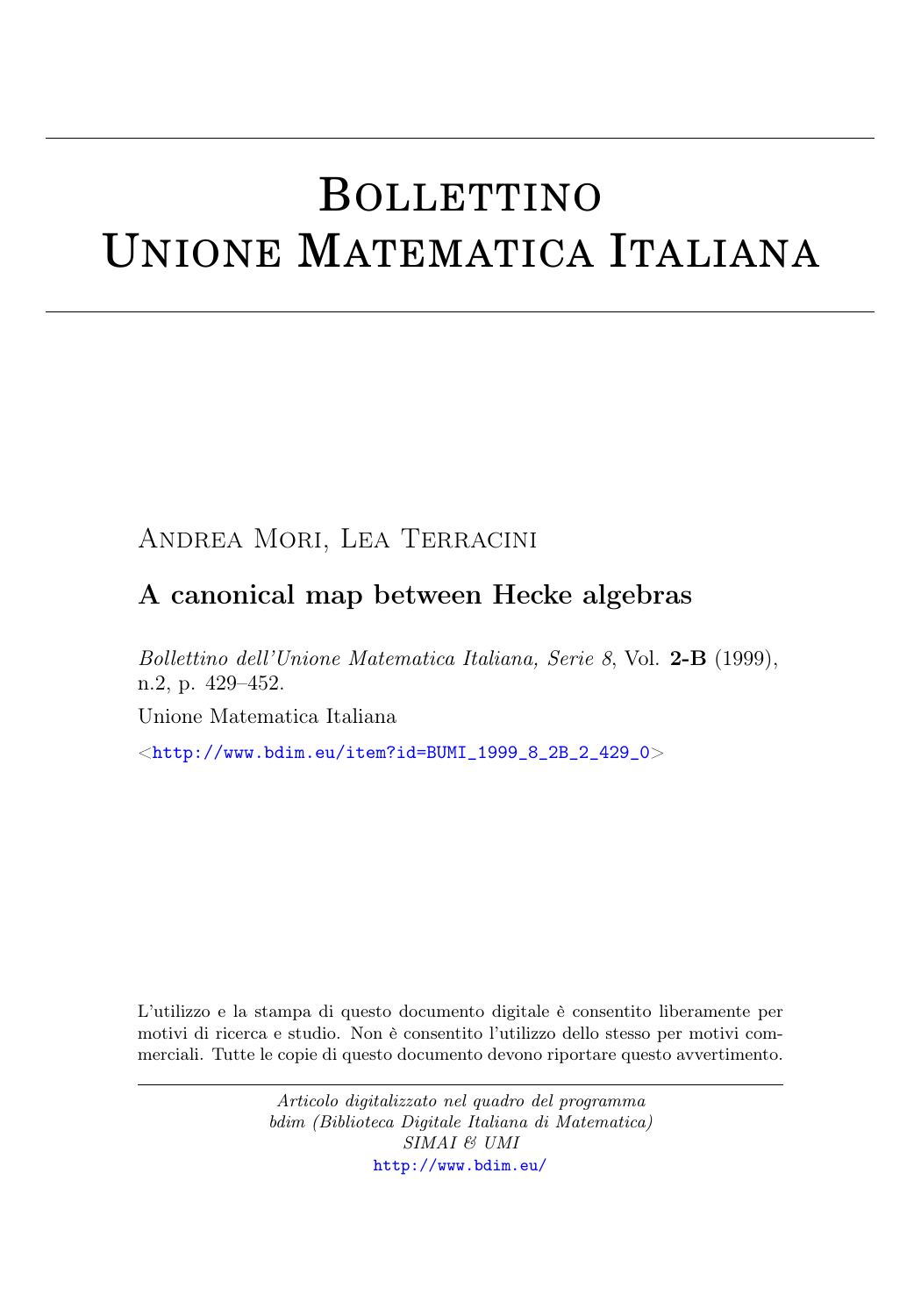# BOLLETTINO UNIONE MATEMATICA ITALIANA

## Andrea Mori, Lea Terracini

## A canonical map between Hecke algebras

Bollettino dell'Unione Matematica Italiana, Serie 8, Vol. 2-B (1999), n.2, p. 429–452.

Unione Matematica Italiana

 $\langle$ [http://www.bdim.eu/item?id=BUMI\\_1999\\_8\\_2B\\_2\\_429\\_0](http://www.bdim.eu/item?id=BUMI_1999_8_2B_2_429_0) $>$ 

L'utilizzo e la stampa di questo documento digitale è consentito liberamente per motivi di ricerca e studio. Non è consentito l'utilizzo dello stesso per motivi commerciali. Tutte le copie di questo documento devono riportare questo avvertimento.

> Articolo digitalizzato nel quadro del programma bdim (Biblioteca Digitale Italiana di Matematica) SIMAI & UMI <http://www.bdim.eu/>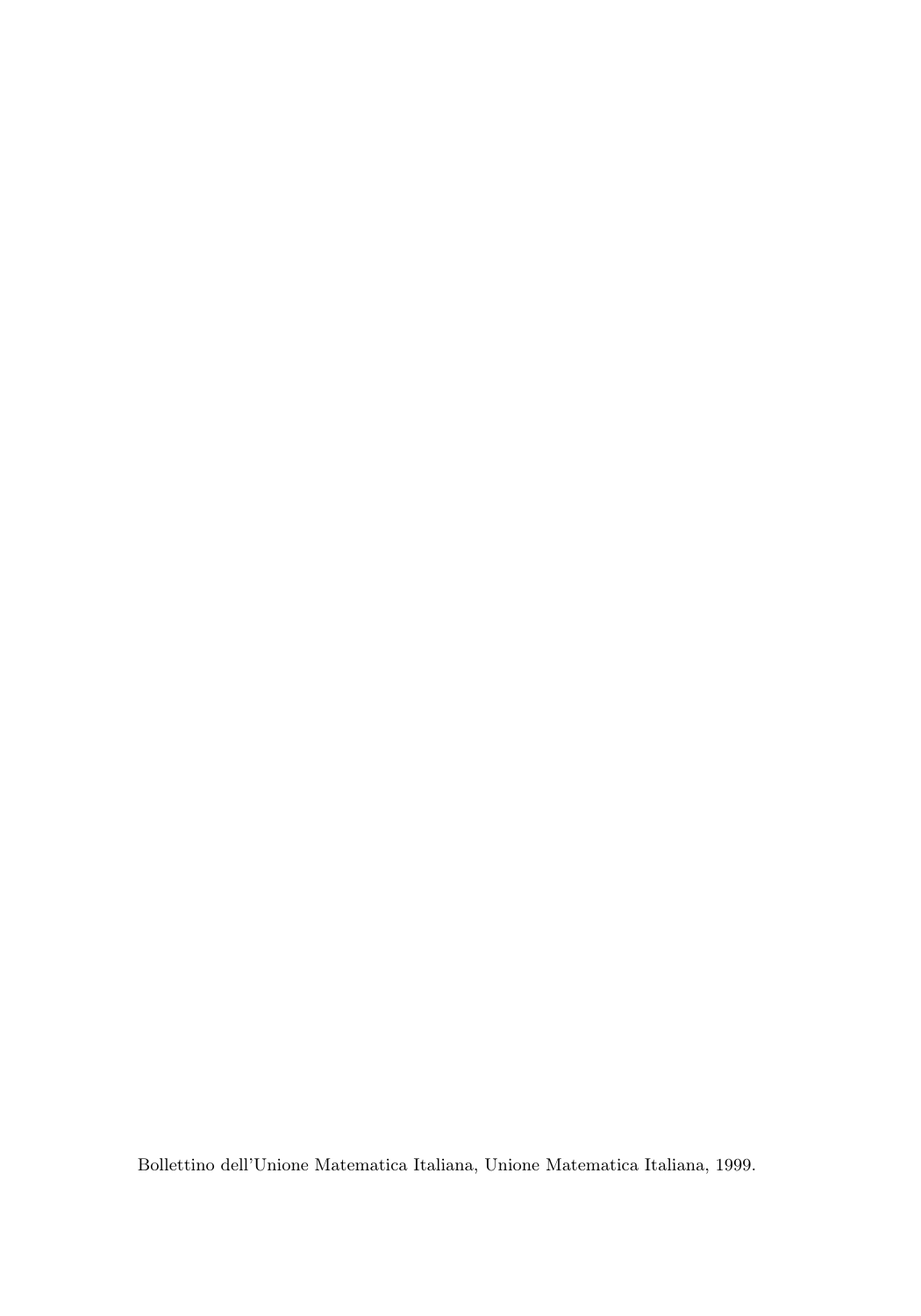Bollettino dell'Unione Matematica Italiana, Unione Matematica Italiana, 1999.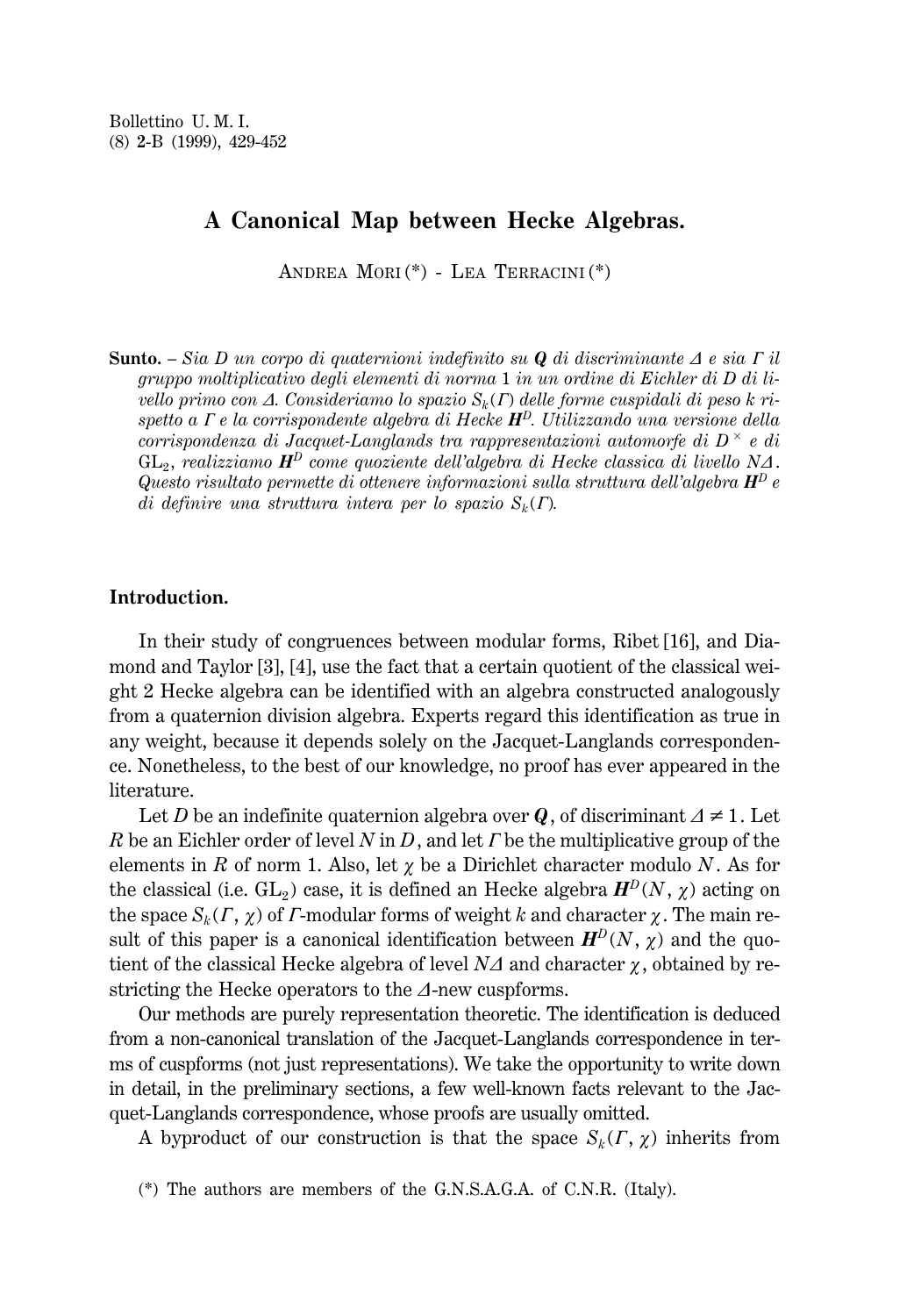### **A Canonical Map between Hecke Algebras.**

ANDREA MORI (\*) - LEA TERRACINI (\*)

**Sunto.**  $-$  *Sia D un corpo di quaternioni indefinito su Q <i>di discriminante*  $\Delta$  *e sia*  $\Gamma$  *il gruppo moltiplicativo degli elementi di norma* 1 *in un ordine di Eichler di D di livello primo con*  $\Delta$ *. Consideriamo lo spazio*  $S_k(\Gamma)$  *delle forme cuspidali di peso k rispetto a G e la corrispondente algebra di Hecke HD. Utilizzando una versione della corrispondenza di Jacquet-Langlands tra rappresentazioni automorfe di D* <sup>3</sup> *e di*  $GL_2$ , *realizziamo*  $\mathbf{H}^D$  *come quoziente dell'algebra di Hecke classica di livello*  $N\Delta$ . *Questo risultato permette di ottenere informazioni sulla struttura dell'algebra H<sup>D</sup> e di definire una struttura intera per lo spazio*  $S_k(\Gamma)$ .

#### **Introduction.**

In their study of congruences between modular forms, Ribet [16], and Diamond and Taylor [3], [4], use the fact that a certain quotient of the classical weight 2 Hecke algebra can be identified with an algebra constructed analogously from a quaternion division algebra. Experts regard this identification as true in any weight, because it depends solely on the Jacquet-Langlands correspondence. Nonetheless, to the best of our knowledge, no proof has ever appeared in the literature.

Let *D* be an indefinite quaternion algebra over *Q*, of discriminant  $\Delta \neq 1$ . Let *R* be an Eichler order of level *N* in *D*, and let *I* be the multiplicative group of the elements in *R* of norm 1. Also, let  $\chi$  be a Dirichlet character modulo *N*. As for the classical (i.e.  $GL_2$ ) case, it is defined an Hecke algebra  $H^D(N, \chi)$  acting on the space  $S_k(\Gamma, \chi)$  of *Γ*-modular forms of weight *k* and character  $\chi$ . The main result of this paper is a canonical identification between  $H^D(N, \chi)$  and the quotient of the classical Hecke algebra of level  $N\Delta$  and character  $\gamma$ , obtained by restricting the Hecke operators to the *D*-new cuspforms.

Our methods are purely representation theoretic. The identification is deduced from a non-canonical translation of the Jacquet-Langlands correspondence in terms of cuspforms (not just representations). We take the opportunity to write down in detail, in the preliminary sections, a few well-known facts relevant to the Jacquet-Langlands correspondence, whose proofs are usually omitted.

A byproduct of our construction is that the space  $S_k(\Gamma, \chi)$  inherits from

(\*) The authors are members of the G.N.S.A.G.A. of C.N.R. (Italy).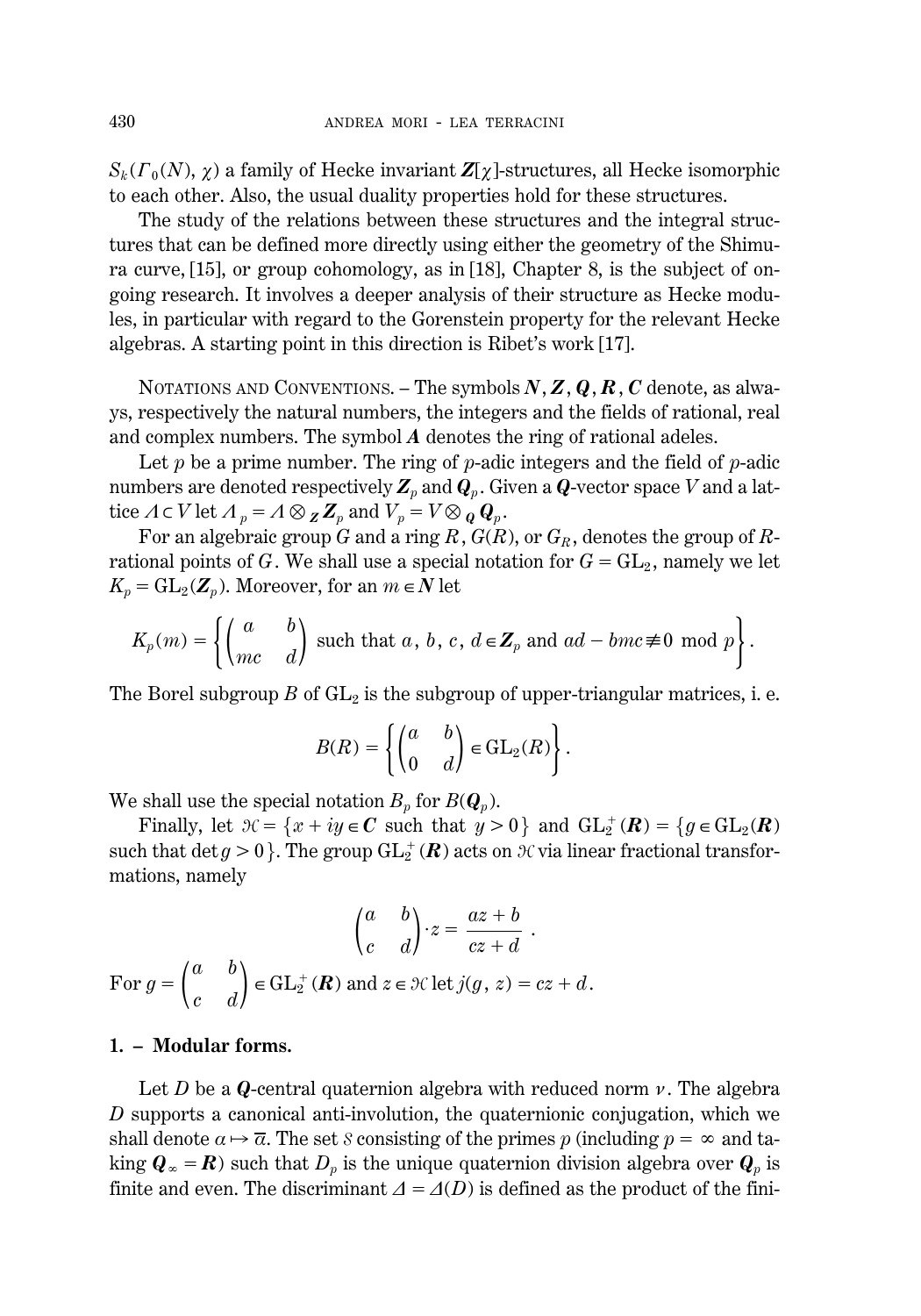$S_k(\Gamma_0(N), \chi)$  a family of Hecke invariant  $\mathbb{Z}[\chi]$ -structures, all Hecke isomorphic to each other. Also, the usual duality properties hold for these structures.

The study of the relations between these structures and the integral structures that can be defined more directly using either the geometry of the Shimura curve, [15], or group cohomology, as in [18], Chapter 8, is the subject of ongoing research. It involves a deeper analysis of their structure as Hecke modules, in particular with regard to the Gorenstein property for the relevant Hecke algebras. A starting point in this direction is Ribet's work [17].

NOTATIONS AND CONVENTIONS. – The symbols *N*, *Z*, *Q*, *R*, *C* denote, as always, respectively the natural numbers, the integers and the fields of rational, real and complex numbers. The symbol *A* denotes the ring of rational adeles.

Let *p* be a prime number. The ring of *p*-adic integers and the field of *p*-adic numbers are denoted respectively  $\mathbb{Z}_p$  and  $\mathbb{Q}_p$ . Given a  $\mathbb{Q}$ -vector space *V* and a lattice  $\Lambda \subset V$  let  $\Lambda_p = \Lambda \otimes Z_p$  and  $V_p = V \otimes_Q Q_p$ .

For an algebraic group *G* and a ring *R*,  $G(R)$ , or  $G_R$ , denotes the group of *R*rational points of *G*. We shall use a special notation for  $G = GL_2$ , namely we let  $K_p = GL_2(\mathbb{Z}_p)$ . Moreover, for an  $m \in \mathbb{N}$  let

$$
K_p(m) = \left\{ \begin{pmatrix} a & b \\ mc & d \end{pmatrix} \text{ such that } a, b, c, d \in \mathbb{Z}_p \text{ and } ad-bmc \not\equiv 0 \text{ mod } p \right\}.
$$

The Borel subgroup  $B$  of  $GL_2$  is the subgroup of upper-triangular matrices, i. e.

$$
B(R) = \left\{ \begin{pmatrix} a & b \\ 0 & d \end{pmatrix} \in \text{GL}_2(R) \right\}.
$$

We shall use the special notation  $B_p$  for  $B(\mathbf{Q}_p)$ .

Finally, let  $\mathcal{H} = \{x + iy \in \mathbb{C} \text{ such that } y > 0\}$  and  $GL_2^+(\mathbb{R}) = \{g \in GL_2(\mathbb{R})\}$ such that  $\det g > 0$  }. The group  $\operatorname{GL}_2^+(\mathbf{R})$  acts on  $\mathcal H$  via linear fractional transformations, namely

$$
\begin{pmatrix} a & b \ c & d \end{pmatrix} \cdot z = \frac{az+b}{cz+d}.
$$
  
For  $g = \begin{pmatrix} a & b \ c & d \end{pmatrix} \in GL_2^+(\mathbb{R})$  and  $z \in \mathcal{H}$  let  $j(g, z) = cz + d$ .

#### **1. – Modular forms.**

Let *D* be a *Q*-central quaternion algebra with reduced norm  $\nu$ . The algebra *D* supports a canonical anti-involution, the quaternionic conjugation, which we shall denote  $\alpha \mapsto \overline{\alpha}$ . The set S consisting of the primes p (including  $p = \infty$  and taking  $\mathbf{Q}_{\infty} = \mathbf{R}$ ) such that  $D_p$  is the unique quaternion division algebra over  $\mathbf{Q}_p$  is finite and even. The discriminant  $\Delta = \Delta(D)$  is defined as the product of the fini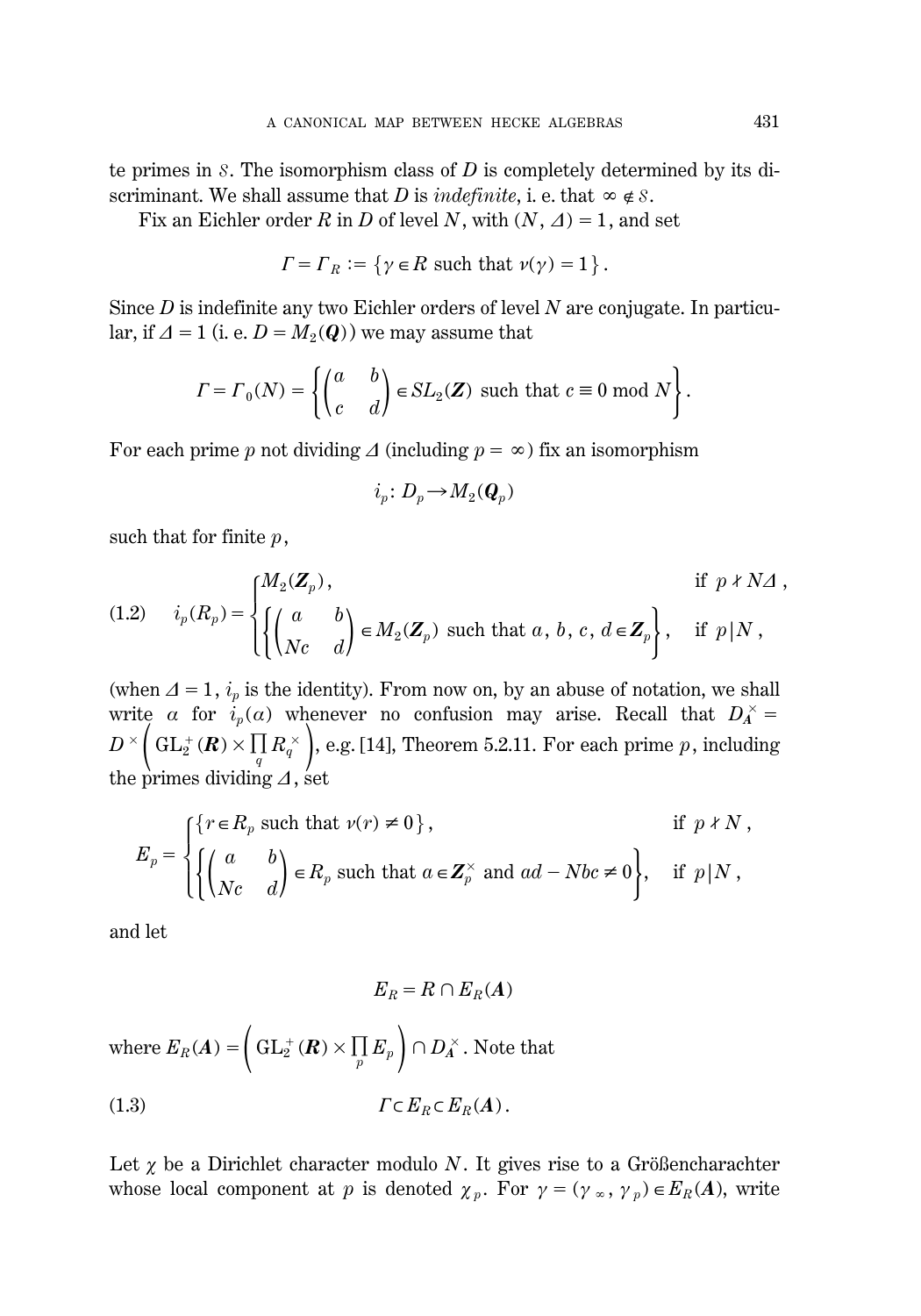te primes in S. The isomorphism class of *D* is completely determined by its discriminant. We shall assume that *D* is *indefinite*, i. e. that  $\infty \notin S$ .

Fix an Eichler order *R* in *D* of level *N*, with  $(N, \Delta) = 1$ , and set

$$
\Gamma = \Gamma_R := \{ \gamma \in R \text{ such that } \nu(\gamma) = 1 \}.
$$

Since *D* is indefinite any two Eichler orders of level *N* are conjugate. In particular, if  $\Delta = 1$  (i. e.  $D = M_2(Q)$ ) we may assume that

$$
\Gamma = \Gamma_0(N) = \left\{ \begin{pmatrix} a & b \\ c & d \end{pmatrix} \in SL_2(\mathbf{Z}) \text{ such that } c \equiv 0 \text{ mod } N \right\}.
$$

For each prime *p* not dividing  $\Delta$  (including  $p = \infty$ ) fix an isomorphism

$$
i_p\colon D_p\!\to\! M_2({\boldsymbol Q}_p)
$$

such that for finite *p*,

(1.2) 
$$
i_p(R_p) = \begin{cases} M_2(\mathbf{Z}_p), & \text{if } p \nmid N \Delta, \\ \begin{pmatrix} a & b \\ Nc & d \end{pmatrix} \in M_2(\mathbf{Z}_p) \text{ such that } a, b, c, d \in \mathbf{Z}_p \end{cases}, \text{ if } p | N,
$$

(when  $\Delta=1$ ,  $i_p$  is the identity). From now on, by an abuse of notation, we shall write *a* for  $i_p(a)$  whenever no confusion may arise. Recall that  $D_A^{\times} = D^{\times} \left( GL_2^+(R) \times \prod_q R_q^{\times} \right)$ , e.g. [14], Theorem 5.2.11. For each prime *p*, including the primes dividing  $\Delta$ , set

$$
E_p = \begin{cases} \{r \in R_p \text{ such that } \nu(r) \neq 0\}, & \text{if } p \nmid N, \\ \left\{ \begin{pmatrix} a & b \\ Nc & d \end{pmatrix} \in R_p \text{ such that } a \in \mathbb{Z}_p^{\times} \text{ and } ad - Nbc \neq 0 \right\}, & \text{if } p \mid N, \end{cases}
$$

and let

$$
E_R = R \cap E_R(A)
$$
  
where  $E_R(A) = \left(\mathrm{GL}_2^+(R) \times \prod_p E_p\right) \cap D_A^\times$ . Note that  
(1.3) 
$$
\Gamma \subset E_R \subset E_R(A).
$$

Let  $\chi$  be a Dirichlet character modulo *N*. It gives rise to a Größencharachter whose local component at *p* is denoted  $\chi_p$ . For  $\gamma = (\gamma \infty, \gamma_p) \in E_R(A)$ , write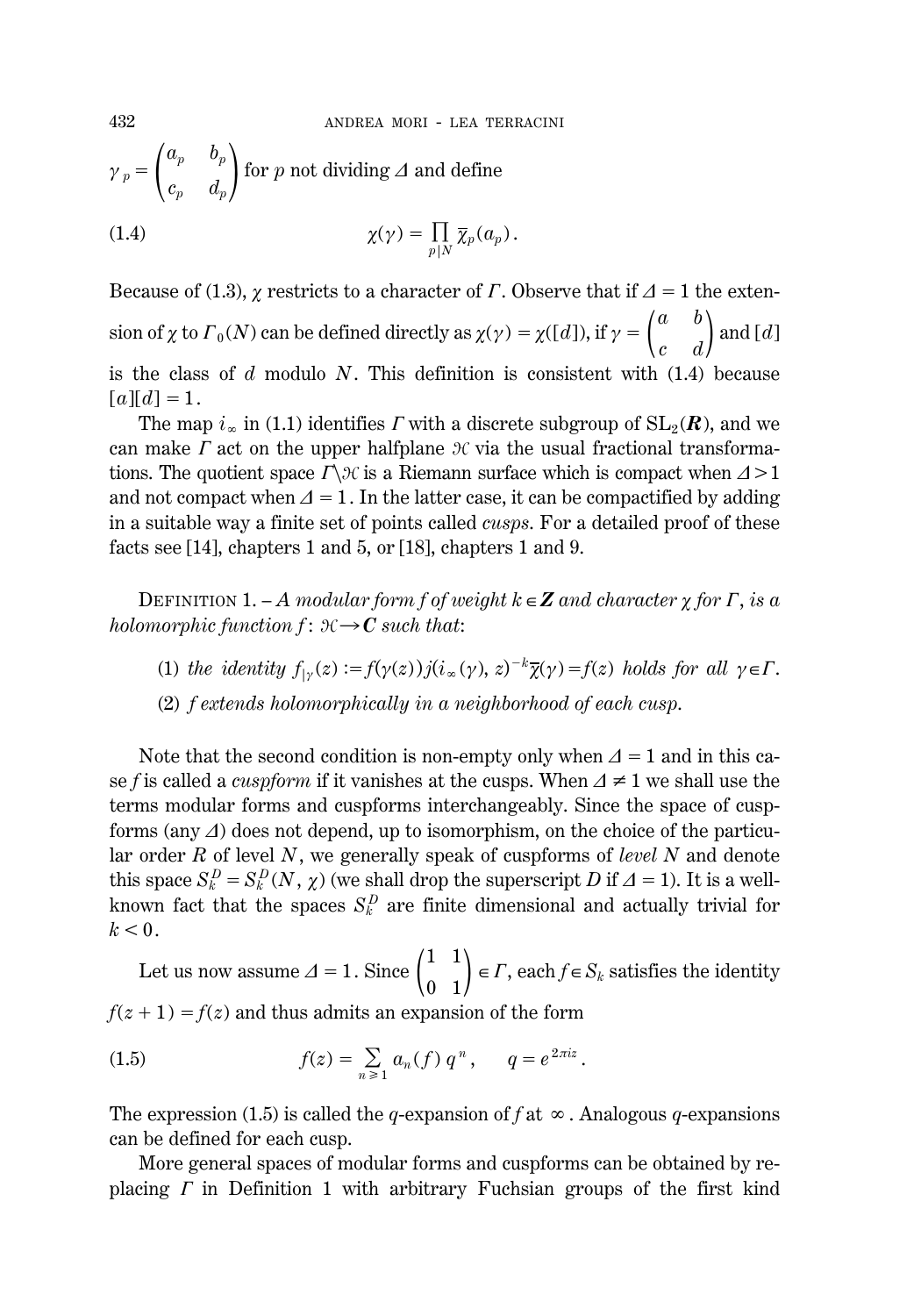$$
\gamma_p = \begin{pmatrix} a_p & b_p \\ c_p & d_p \end{pmatrix}
$$
 for *p* not dividing  $\Delta$  and define

(1.4) 
$$
\chi(\gamma) = \prod_{p|N} \overline{\chi}_p(a_p).
$$

Because of (1.3),  $\chi$  restricts to a character of *G*. Observe that if  $\Delta = 1$  the extension of  $\chi$  to  $\Gamma_0(N)$  can be defined directly as  $\chi(\gamma) = \chi([d]),$  if  $\gamma = \begin{pmatrix} a & b \\ c & d \end{pmatrix}$ *c b*  $\genfrac{}{}{0pt}{}{b}{d}$  and [*d*] is the class of *d* modulo *N*. This definition is consistent with (1.4) because  $[a][d] = 1.$ 

The map  $i_\infty$  in (1.1) identifies *F* with a discrete subgroup of  $SL_2(\mathbf{R})$ , and we can make  $\Gamma$  act on the upper halfplane  $\mathcal X$  via the usual fractional transformations. The quotient space  $\Gamma \backslash \mathcal{H}$  is a Riemann surface which is compact when  $\Delta > 1$ and not compact when  $\Delta=1$ . In the latter case, it can be compactified by adding in a suitable way a finite set of points called *cusps*. For a detailed proof of these facts see [14], chapters 1 and 5, or [18], chapters 1 and 9.

DEFINITION 1. – *A modular form f of weight*  $k \in \mathbb{Z}$  *and character*  $\gamma$  *for*  $\Gamma$ *, is a holomorphic function f* :  $\mathcal{H} \rightarrow C$  *such that*:

- (1) *the identity*  $f_{\vert \gamma}(z) := f(\gamma(z))j(i_{\infty}(\gamma), z)^{-k}\overline{\chi}(\gamma) = f(z)$  *holds for all*  $\gamma \in \Gamma$ .
- (2) *f extends holomorphically in a neighborhood of each cusp*.

Note that the second condition is non-empty only when  $\Delta = 1$  and in this case *f* is called a *cuspform* if it vanishes at the cusps. When  $\Delta \neq 1$  we shall use the terms modular forms and cuspforms interchangeably. Since the space of cuspforms (any  $\Delta$ ) does not depend, up to isomorphism, on the choice of the particular order *R* of level *N*, we generally speak of cuspforms of *level N* and denote this space  $S_k^D = S_k^D(N, \chi)$  (we shall drop the superscript *D* if  $\Delta = 1$ ). It is a wellknown fact that the spaces  $S_k^D$  are finite dimensional and actually trivial for  $k<0$ .

Let us now assume  $\Delta = 1$ . Since  $\begin{pmatrix} 1 & 1 \\ 0 & 1 \end{pmatrix} \in \Gamma$ , each  $f \in S_k$  satisfies the identity  $f(z + 1) = f(z)$  and thus admits an expansion of the form

(1.5) 
$$
f(z) = \sum_{n \geq 1} a_n(f) q^n, \qquad q = e^{2\pi i z}.
$$

The expression (1.5) is called the *q*-expansion of *f* at  $\infty$ . Analogous *q*-expansions can be defined for each cusp.

More general spaces of modular forms and cuspforms can be obtained by replacing *F* in Definition 1 with arbitrary Fuchsian groups of the first kind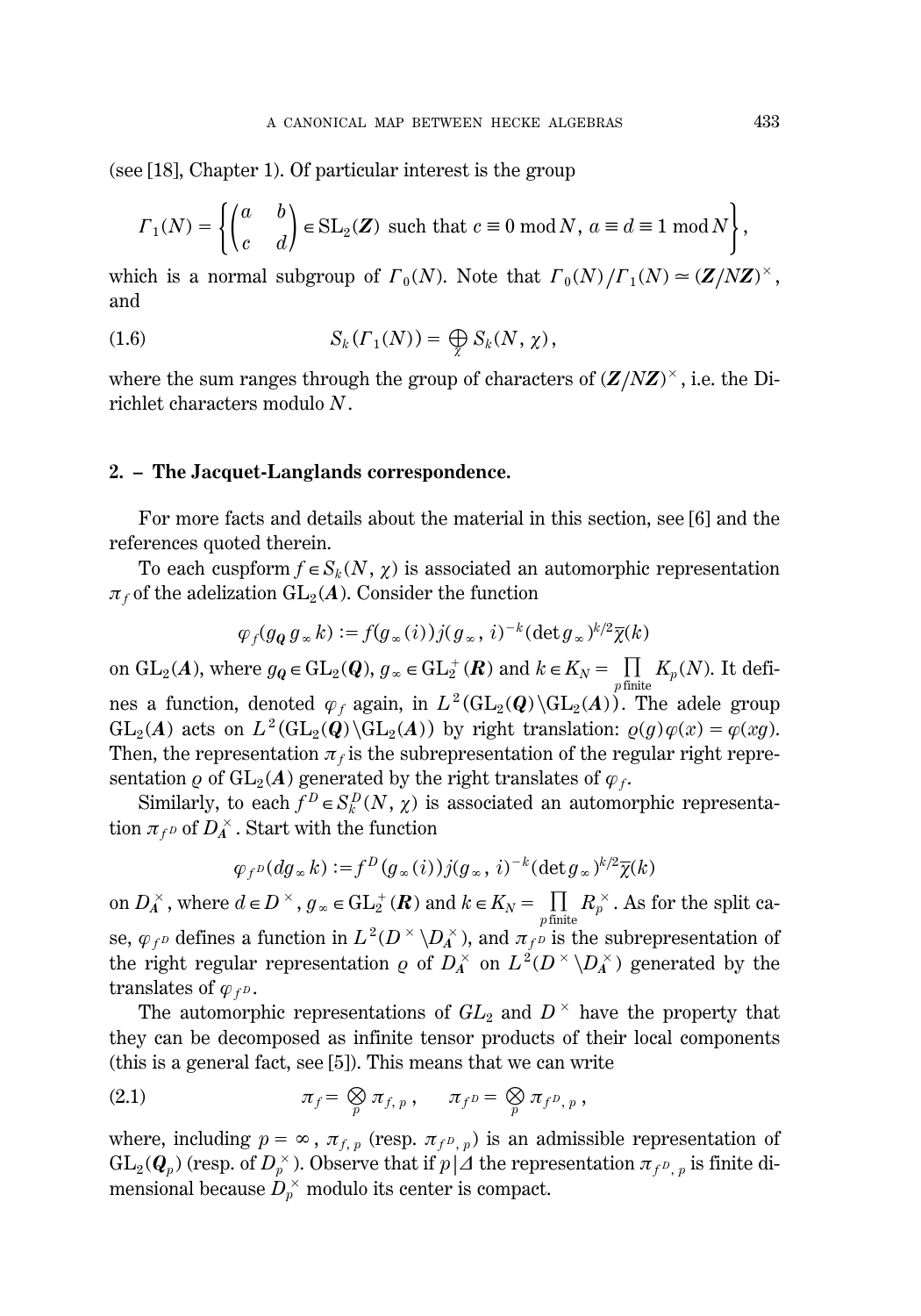(see [18], Chapter 1). Of particular interest is the group

$$
\Gamma_1(N) = \left\{ \begin{pmatrix} a & b \\ c & d \end{pmatrix} \in \text{SL}_2(\mathbf{Z}) \text{ such that } c \equiv 0 \text{ mod } N, a \equiv d \equiv 1 \text{ mod } N \right\},
$$

which is a normal subgroup of  $\Gamma_0(N)$ . Note that  $\Gamma_0(N)/\Gamma_1(N) \simeq (\mathbf{Z}/N\mathbf{Z})^{\times}$ , and

(1.6) 
$$
S_k(\Gamma_1(N)) = \bigoplus_{\chi} S_k(N, \chi),
$$

where the sum ranges through the group of characters of  $(Z/NZ)^\times$  , i.e. the Dirichlet characters modulo *N*.

#### **2. – The Jacquet-Langlands correspondence.**

For more facts and details about the material in this section, see [6] and the references quoted therein.

To each cuspform  $f \in S_k(N, \chi)$  is associated an automorphic representation  $\pi_f$  of the adelization  $GL_2(A)$ . Consider the function

$$
\varphi_f(g_{\mathbf{Q}} g_{\infty} k) := f(g_{\infty}(i)) j(g_{\infty}, i)^{-k} (\det g_{\infty})^{k/2} \overline{\chi}(k)
$$

on  $GL_2(A)$ , where  $g_{\mathbf{Q}} \in GL_2(\mathbf{Q})$ ,  $g_{\infty} \in GL_2^+(\mathbf{R})$  and  $k \in K_N = \prod_{p \text{ finite}} K_p(N)$ . It defines a function, denoted  $\varphi_f$  again, in  $L^2(\text{GL}_2(\mathbf{Q})\backslash \text{GL}_2(\mathbf{A}))$ . The adele group  $GL_2(A)$  acts on  $L^2(\text{GL}_2(Q)\backslash\text{GL}_2(A))$  by right translation:  $\rho(g)\varphi(x) = \varphi(xg)$ . Then, the representation  $\pi_f$  is the subrepresentation of the regular right representation  $\rho$  of  $GL_2(A)$  generated by the right translates of  $\varphi_f$ .

Similarly, to each  $f^D \in S_k^D(N, \chi)$  is associated an automorphic representation  $\pi_{f^D}$  of  $D_A^\times$  . Start with the function

$$
\varphi_{f^D}(dg_{\infty}k) := f^D(g_{\infty}(i))j(g_{\infty}, i)^{-k}(\det g_{\infty})^{k/2}\overline{\chi}(k)
$$

on  $D_A^{\times}$ , where  $d \in D^{\times}$ ,  $g_{\infty} \in GL_2^+(\mathbf{R})$  and  $k \in K_N = \prod_{p \text{ finite}} R_p^{\times}$ . As for the split case,  $\varphi_{f}$ <sup>*p*</sup> defines a function in  $L^2(D^{\times} \backslash D_A^{\times})$ , and  $\pi_{f}$ <sup>*p*</sup> is the subrepresentation of the right regular representation *o* of  $D_A^{\times}$  on  $L^2(D^{\times} \backslash D_A^{\times})$  generated by the translates of  $\varphi_f$ *p*.

The automorphic representations of  $GL_2$  and  $D^{\times}$  have the property that they can be decomposed as infinite tensor products of their local components (this is a general fact, see [5]). This means that we can write

(2.1) 
$$
\pi_f = \bigotimes_p \pi_{f, p}, \quad \pi_{f^D} = \bigotimes_p \pi_{f^D, p},
$$

where, including  $p = \infty$ ,  $\pi_{f, p}$  (resp.  $\pi_{f^p, p}$ ) is an admissible representation of  $\mathrm{GL}_2(\bm{Q}_p)$  (resp. of  $D_p^{\times}$  ). Observe that if  $p\,|\varDelta$  the representation  $\pi_{f^D,~p}$  is finite dimensional because  $D_{p}^{\,\times}$  modulo its center is compact.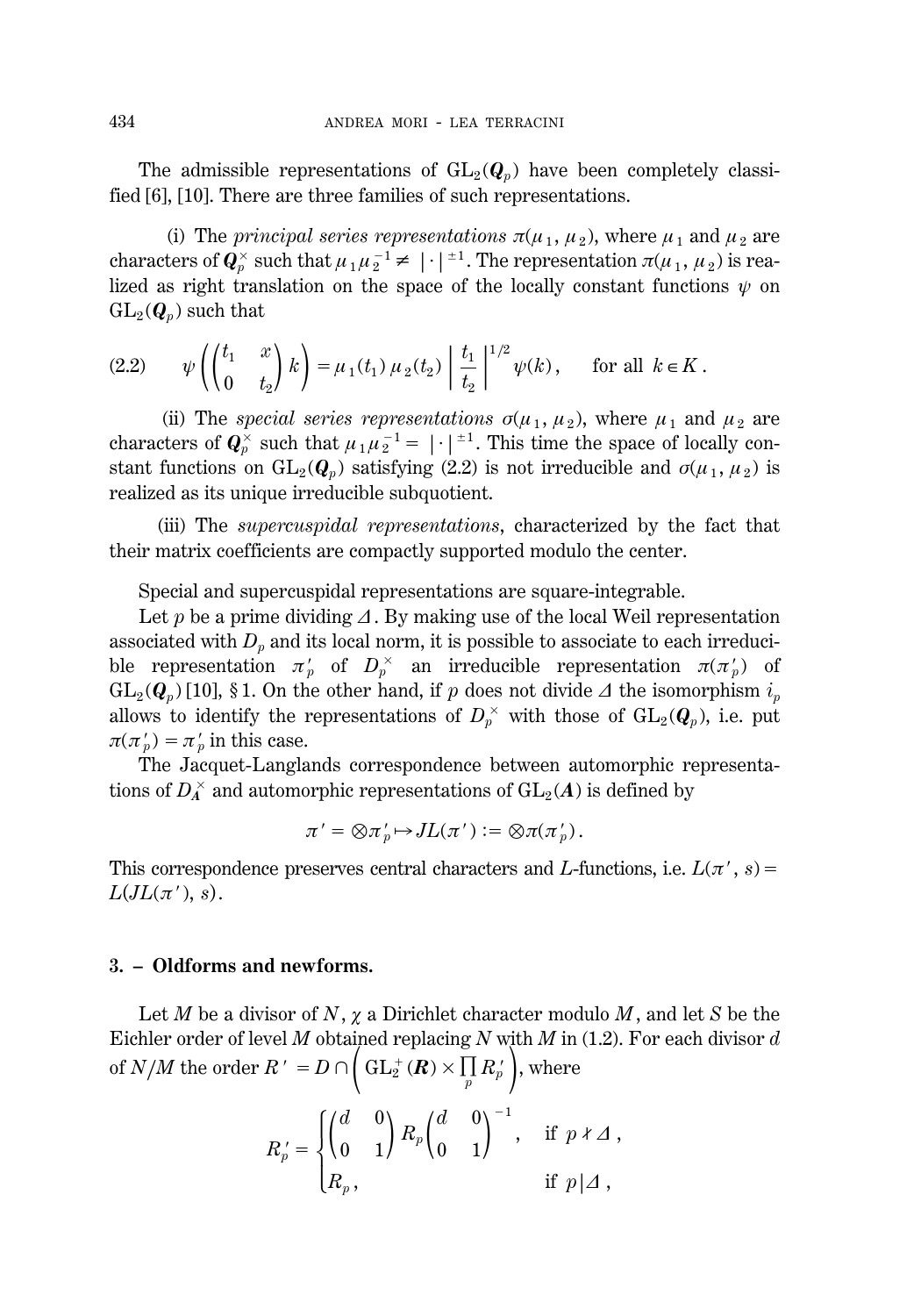The admissible representations of  $GL_2(\mathbf{Q}_p)$  have been completely classified [6], [10]. There are three families of such representations.

(i) The *principal series representations*  $\pi(\mu_1, \mu_2)$ , where  $\mu_1$  and  $\mu_2$  are characters of  $\bm{Q}_p^{\times}$  such that  $\mu_1\mu_2^{-1}\neq |\cdot|^{\pm 1}.$  The representation  $\pi(\mu_1,\,\mu_2)$  is realized as right translation on the space of the locally constant functions  $\psi$  on  $GL_2(Q_p)$  such that

$$
(2.2) \qquad \psi\left(\begin{pmatrix} t_1 & x \\ 0 & t_2 \end{pmatrix} k\right) = \mu_1(t_1) \mu_2(t_2) \left|\frac{t_1}{t_2}\right|^{1/2} \psi(k), \qquad \text{for all } k \in K \,.
$$

(ii) The *special series representations*  $\sigma(\mu_1, \mu_2)$ , where  $\mu_1$  and  $\mu_2$  are characters of  $\mathbf{Q}_p^{\times}$  such that  $\mu_1 \mu_2^{-1} = |\cdot|^{-1}$ . This time the space of locally constant functions on  $GL_2(Q_p)$  satisfying (2.2) is not irreducible and  $\sigma(\mu_1, \mu_2)$  is realized as its unique irreducible subquotient.

(iii) The *supercuspidal representations*, characterized by the fact that their matrix coefficients are compactly supported modulo the center.

Special and supercuspidal representations are square-integrable.

Let  $p$  be a prime dividing  $\Delta$ . By making use of the local Weil representation associated with  $D_p$  and its local norm, it is possible to associate to each irreducible representation  $\pi_p^{\prime}$  of  $D_p^{\times}$  an irreducible representation  $\pi(\pi_p^{\prime})$  of  $GL_2(Q_p)$  [10], § 1. On the other hand, if *p* does not divide  $\Delta$  the isomorphism  $i_p$ allows to identify the representations of  $D_p^{\times}$  with those of  $\mathrm{GL}_2(\boldsymbol{Q}_p),$  i.e. put  $\pi(\pi_p') = \pi_p'$  in this case.

The Jacquet-Langlands correspondence between automorphic representations of  $D_A^\times$  and automorphic representations of  $\mathrm{GL}_2(A)$  is defined by

$$
\pi' = \otimes \pi'_p \mapsto JL(\pi') := \otimes \pi(\pi'_p).
$$

This correspondence preserves central characters and *L*-functions, i.e.  $L(\pi, s)$  =  $L(JL(\pi'), s)$ .

#### **3. – Oldforms and newforms.**

Let *M* be a divisor of *N*, *x* a Dirichlet character modulo *M*, and let *S* be the Eichler order of level *M* obtained replacing *N* with *M* in (1.2). For each divisor *d* of *N*/*M* the order  $R' = D \cap \left( GL_2^+(R) \times \prod_p R_p' \right)$ , where

$$
R_p'=\begin{cases}\begin{pmatrix}d&0\\0&1\end{pmatrix}R_p\begin{pmatrix}d&0\\0&1\end{pmatrix}^{-1},&\text{if }p\neq\varDelta\;,\cr R_p,&\text{if }p\mid\varDelta\;,\end{cases}
$$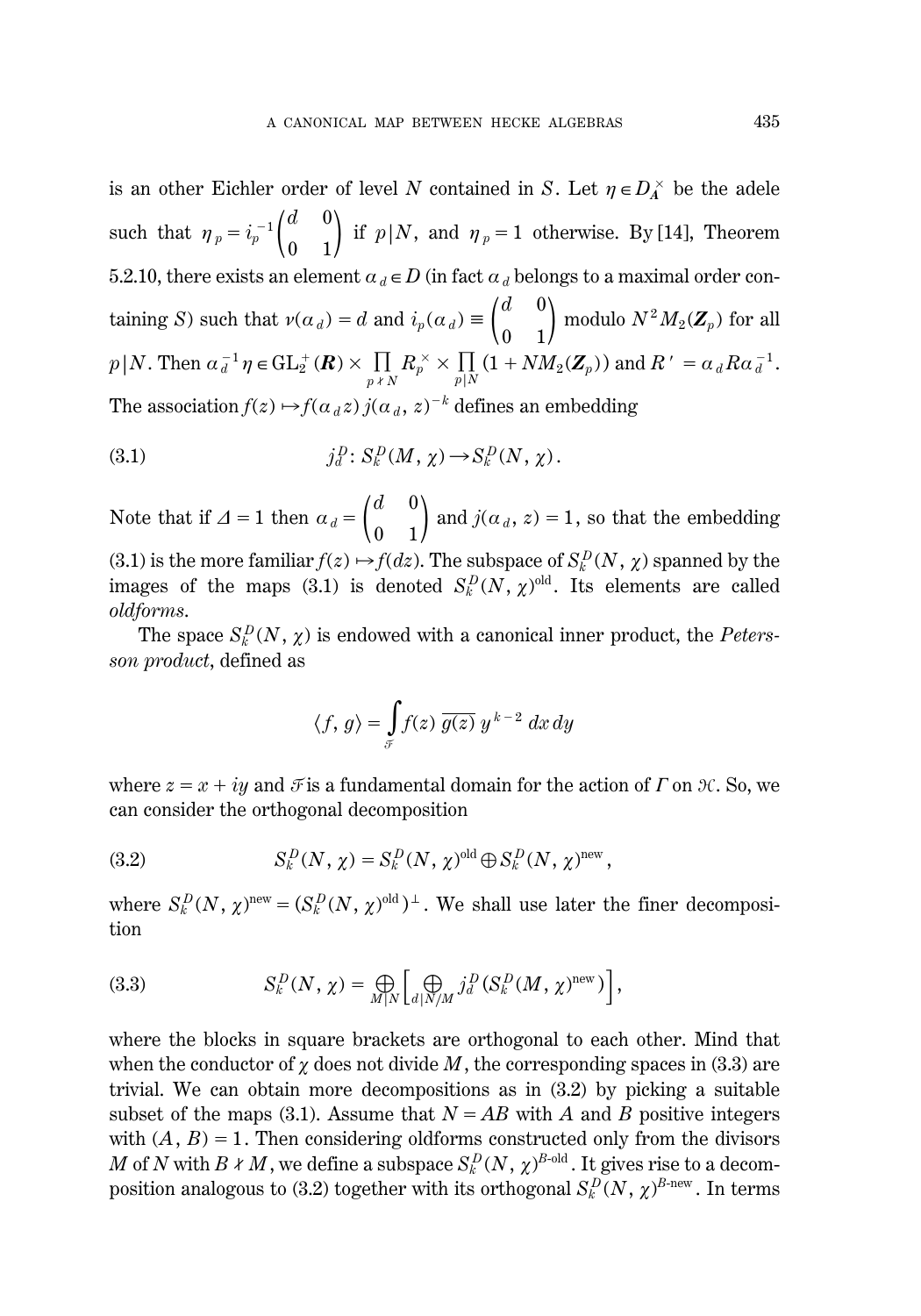is an other Eichler order of level *N* contained in *S*. Let  $\eta \in D_A^{\times}$  be the adele such that  $\eta_p = i_p^{-1} \begin{pmatrix} d \\ 0 \end{pmatrix}$  $\boldsymbol{0}$ 0  $\binom{0}{1}$  if  $p|N$ , and  $\eta_p = 1$  otherwise. By [14], Theorem 5.2.10, there exists an element  $a_d \in D$  (in fact  $a_d$  belongs to a maximal order containing *S*) such that  $\nu(\alpha_d) = d$  and  $i_p(\alpha_d) \equiv \begin{pmatrix} d \\ 0 \end{pmatrix}$  $\boldsymbol{0}$  $\boldsymbol{0}$  $\displaystyle{\frac{0}{1}}\Big)$  modulo  $N^2M_2(\mathbf{Z}_p)$  for all  $p|N$ . Then  $\alpha_d^{-1} \eta \in GL_2^+(\mathbf{R}) \times \prod_{p \nmid N} R_p^{\times} \times \prod_{p|N} (1 + NM_2(\mathbf{Z}_p))$  and  $R' = \alpha_d R \alpha_d^{-1}$ . The association  $f(z) \mapsto f(\alpha_d z) j(\alpha_d, z)^{-k}$  defines an embedding

(3.1) 
$$
j_d^D\colon S_k^D(M, \chi) \to S_k^D(N, \chi).
$$

Note that if  $\Delta = 1$  then  $\alpha_d = \begin{pmatrix} d \\ 0 \end{pmatrix}$ 0  $\boldsymbol{0}$  $\binom{0}{1}$  and  $j(a_d, z) = 1$ , so that the embedding (3.1) is the more familiar  $f(z) \mapsto f(dz)$ . The subspace of  $S_k^D(N, \chi)$  spanned by the images of the maps (3.1) is denoted  $S_k^D(N, \chi)$ <sup>old</sup>. Its elements are called *oldforms*.

The space  $S_k^D(N, \chi)$  is endowed with a canonical inner product, the *Petersson product*, defined as

$$
\langle f, g \rangle = \int_{\mathcal{F}} f(z) \overline{g(z)} \, y^{k-2} \, dx \, dy
$$

where  $z = x + iy$  and  $\mathcal F$  is a fundamental domain for the action of  $\Gamma$  on  $\mathcal H$ . So, we can consider the orthogonal decomposition

(3.2) 
$$
S_k^D(N, \chi) = S_k^D(N, \chi)^{\text{old}} \oplus S_k^D(N, \chi)^{\text{new}},
$$

where  $S_k^D(N, \chi)$ <sup>new</sup> =  $(S_k^D(N, \chi)$ <sup>old</sup>)<sup> $\perp$ </sup>. We shall use later the finer decomposition

(3.3) 
$$
S_k^D(N, \chi) = \bigoplus_{M|N} \left[ \bigoplus_{d|N/M} j_d^D(S_k^D(M, \chi)^{\text{new}}) \right],
$$

where the blocks in square brackets are orthogonal to each other. Mind that when the conductor of  $\chi$  does not divide M, the corresponding spaces in (3.3) are trivial. We can obtain more decompositions as in (3.2) by picking a suitable subset of the maps (3.1). Assume that  $N = AB$  with *A* and *B* positive integers with  $(A, B) = 1$ . Then considering oldforms constructed only from the divisors  $M$  of  $N$  with  $B \nmid M$  , we define a subspace  $S_k^D(N, \, \chi)^{B\text{-old}}$  . It gives rise to a decomposition analogous to (3.2) together with its orthogonal  $S_k^D(N,\,\chi)^{B\text{-new}}$  . In terms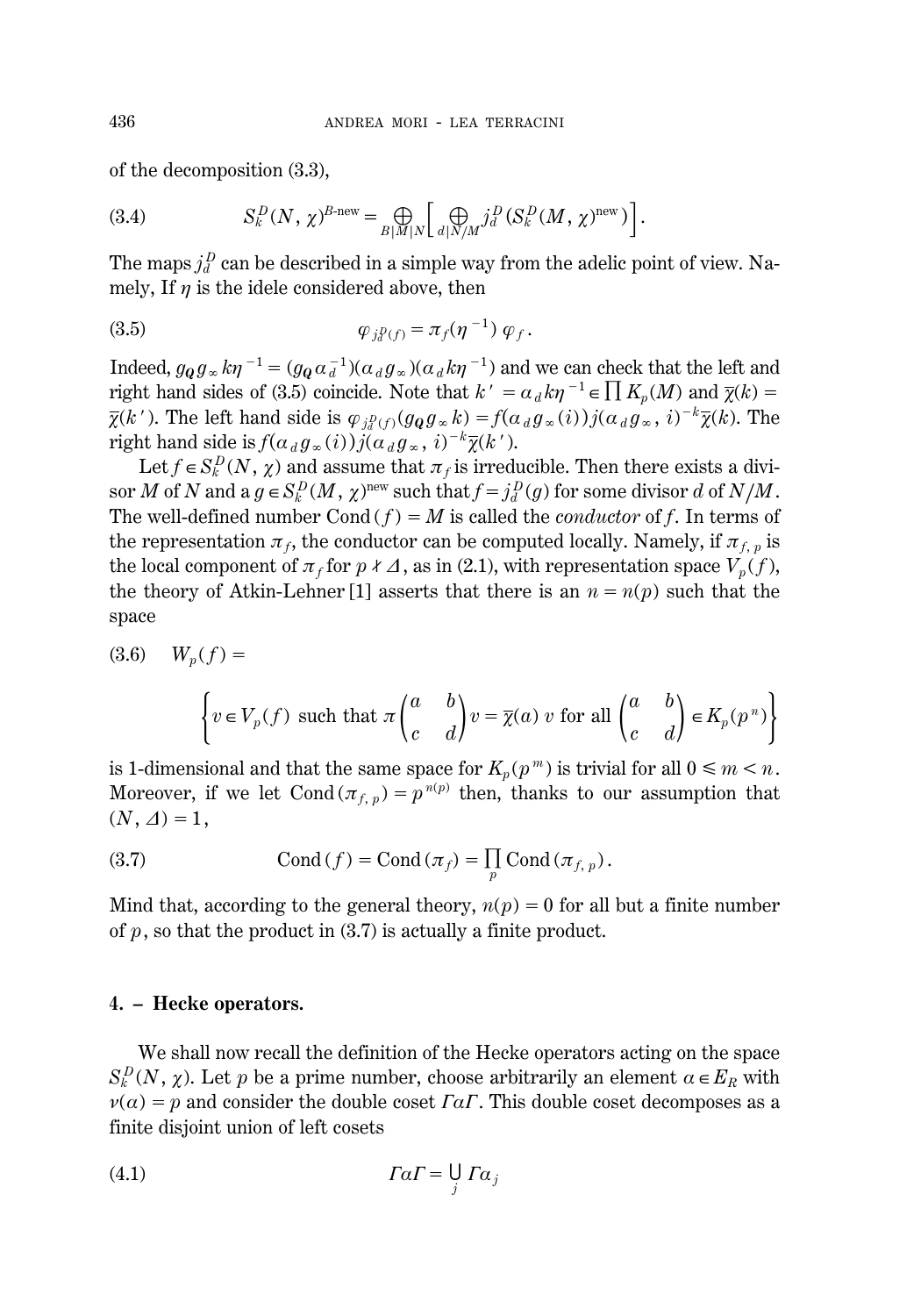of the decomposition (3.3),

(3.4) 
$$
S_k^D(N, \chi)^{B \text{-new}} = \bigoplus_{B|M|N} \left[ \bigoplus_{d|N/M} j_d^D (S_k^D(M, \chi)^{\text{new}}) \right].
$$

The maps  $j_d^D$  can be described in a simple way from the adelic point of view. Namely, If  $\eta$  is the idele considered above, then

$$
\varphi_{j_\ell^D(f)} = \pi_f(\eta^{-1}) \varphi_f.
$$

Indeed,  $g_{\mathbf{Q}}g_{\infty}k\eta^{-1} = (g_{\mathbf{Q}}\alpha_d^{-1})(\alpha_d g_{\infty})(\alpha_d k\eta^{-1})$  and we can check that the left and right hand sides of (3.5) coincide. Note that  $k' = \alpha_d k \eta^{-1} \in \prod K_p(M)$  and  $\overline{\chi}(k) =$  $\overline{\chi}(k')$ . The left hand side is  $\varphi_{j_q}(\mathcal{G}_q(g_\infty k) = f(\alpha_d g_\infty(i))j(\alpha_d g_\infty, i)^{-k}\overline{\chi}(k)$ . The right hand side is  $f(a_d g_\infty(i))j(a_d g_\infty, i)^{-k}\overline{\chi}(k')$ .

Let  $f \in S_k^D(N, \chi)$  and assume that  $\pi_f$  is irreducible. Then there exists a divi- $\int$  sor *M* of *N* and a  $g \in S_k^D(M, \chi)^\text{new}$  such that  $f = j_d^D(g)$  for some divisor *d* of  $N/M$ . The well-defined number  $Cond(f) = M$  is called the *conductor* of f. In terms of the representation  $\pi_f$ , the conductor can be computed locally. Namely, if  $\pi_f$  is the local component of  $\pi_f$  for  $p \nmid \Delta$ , as in (2.1), with representation space  $V_p(f)$ , the theory of Atkin-Lehner [1] asserts that there is an  $n = n(p)$  such that the space

 $(3.6)$   $W_n(f) =$ 

$$
\left\{v \in V_p(f) \text{ such that } \pi \begin{pmatrix} a & b \\ c & d \end{pmatrix} v = \overline{\chi}(a) \ v \text{ for all } \begin{pmatrix} a & b \\ c & d \end{pmatrix} \in K_p(p^n) \right\}
$$

is 1-dimensional and that the same space for  $K_p(p^m)$  is trivial for all  $0 \le m < n$ . Moreover, if we let Cond $(\pi_{f, p}) = p^{n(p)}$  then, thanks to our assumption that  $(N, \Delta) = 1,$ 

(3.7) 
$$
\text{Cond}(f) = \text{Cond}(\pi_f) = \prod_p \text{Cond}(\pi_{f, p}).
$$

Mind that, according to the general theory,  $n(p) = 0$  for all but a finite number of  $p$ , so that the product in  $(3.7)$  is actually a finite product.

#### **4. – Hecke operators.**

We shall now recall the definition of the Hecke operators acting on the space  $S_k^D(N, \chi)$ . Let *p* be a prime number, choose arbitrarily an element  $\alpha \in E_R$  with  $\nu(a) = p$  and consider the double coset *FaF*. This double coset decomposes as a finite disjoint union of left cosets

*GaG*4 0 *j Ga<sup>j</sup>* (4.1)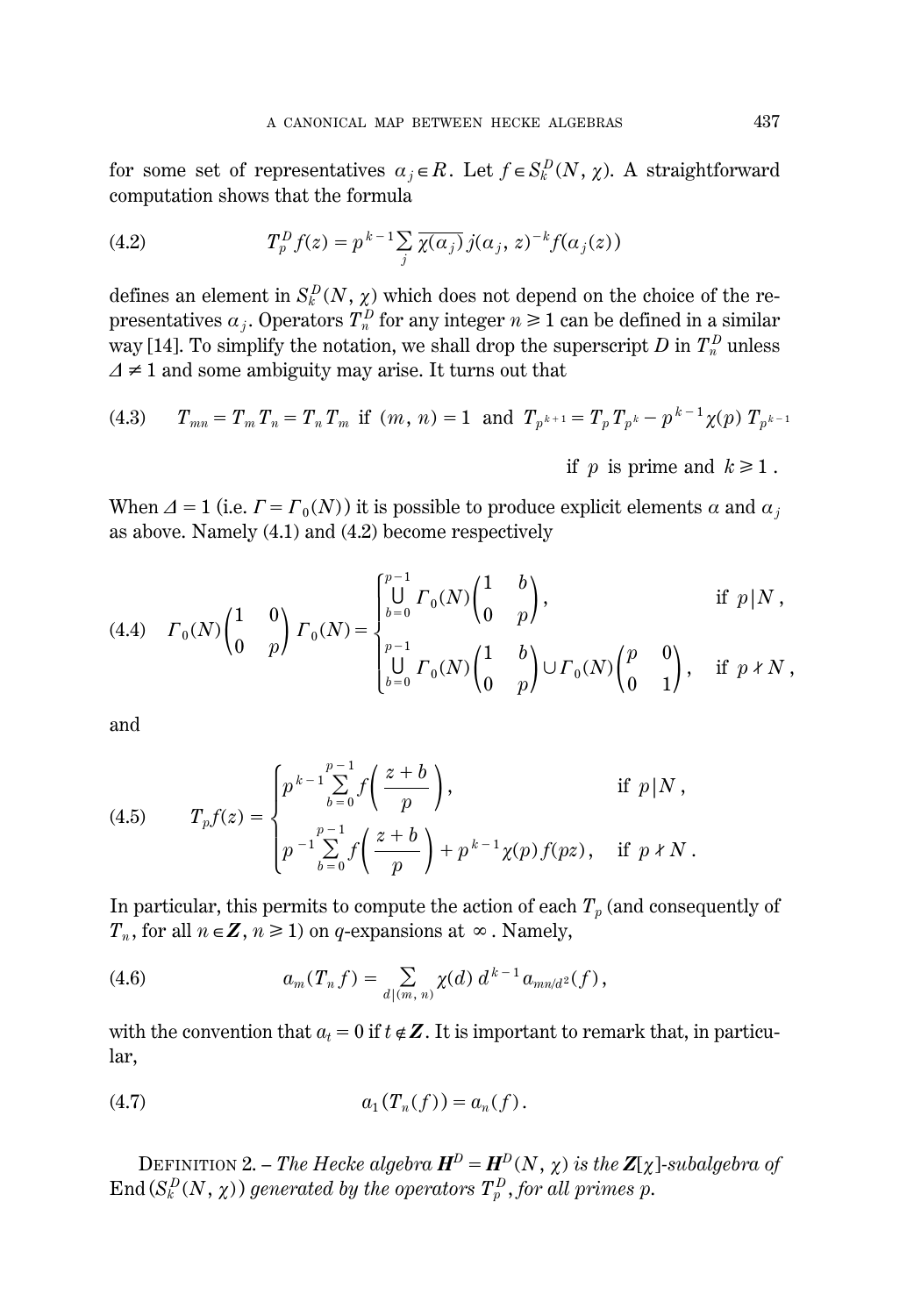for some set of representatives  $a_j \in R$ . Let  $f \in S_k^D(N, \chi)$ . A straightforward computation shows that the formula

(4.2) 
$$
T_p^D f(z) = p^{k-1} \sum_j \overline{\chi(\alpha_j)} j(\alpha_j, z)^{-k} f(\alpha_j(z))
$$

defines an element in  $S_k^D(N, \chi)$  which does not depend on the choice of the representatives  $a_j$ . Operators  $T_n^D$  for any integer  $n \geq 1$  can be defined in a similar way [14]. To simplify the notation, we shall drop the superscript  $D$  in  $T_n^D$  unless  $\Delta \neq 1$  and some ambiguity may arise. It turns out that

(4.3) 
$$
T_{mn} = T_m T_n = T_n T_m
$$
 if  $(m, n) = 1$  and  $T_{p^{k+1}} = T_p T_{p^k} - p^{k-1} \chi(p) T_{p^{k-1}}$   
if p is prime and  $k \ge 1$ .

When  $\Delta = 1$  (i.e.  $F = F_0(N)$ ) it is possible to produce explicit elements  $\alpha$  and  $\alpha_j$ as above. Namely (4.1) and (4.2) become respectively

(4.4) 
$$
F_0(N) \begin{pmatrix} 1 & 0 \ 0 & p \end{pmatrix} F_0(N) = \begin{cases} \bigcup_{b=0}^{p-1} F_0(N) \begin{pmatrix} 1 & b \ 0 & p \end{pmatrix}, & \text{if } p \mid N, \\ \bigcup_{b=0}^{p-1} F_0(N) \begin{pmatrix} 1 & b \ 0 & p \end{pmatrix} \cup F_0(N) \begin{pmatrix} p & 0 \ 0 & 1 \end{pmatrix}, & \text{if } p \nmid N, \end{cases}
$$

and

(4.5) 
$$
T_p f(z) = \begin{cases} p^{k-1} \sum_{b=0}^{p-1} f\left(\frac{z+b}{p}\right), & \text{if } p \mid N, \\ p^{-1} \sum_{b=0}^{p-1} f\left(\frac{z+b}{p}\right) + p^{k-1} \chi(p) f(pz), & \text{if } p \nmid N. \end{cases}
$$

In particular, this permits to compute the action of each  $T_p$  (and consequently of *T<sub>n</sub>*, for all  $n \in \mathbb{Z}$ ,  $n \ge 1$ ) on *q*-expansions at  $\infty$ . Namely,

(4.6) 
$$
a_m(T_n f) = \sum_{d | (m, n)} \chi(d) d^{k-1} a_{mn/d} \iota(f),
$$

with the convention that  $a_t = 0$  if  $t \notin \mathbb{Z}$ . It is important to remark that, in particular,

(4.7) 
$$
a_1(T_n(f)) = a_n(f).
$$

DEFINITION 2. – *The Hecke algebra*  $H^D = H^D(N, \chi)$  *is the*  $Z[\chi]$ *-subalgebra of*  $\text{End}\left(S_k^D(N,\,\chi)\right)$  generated by the operators  $T_p^D$  , for all primes p.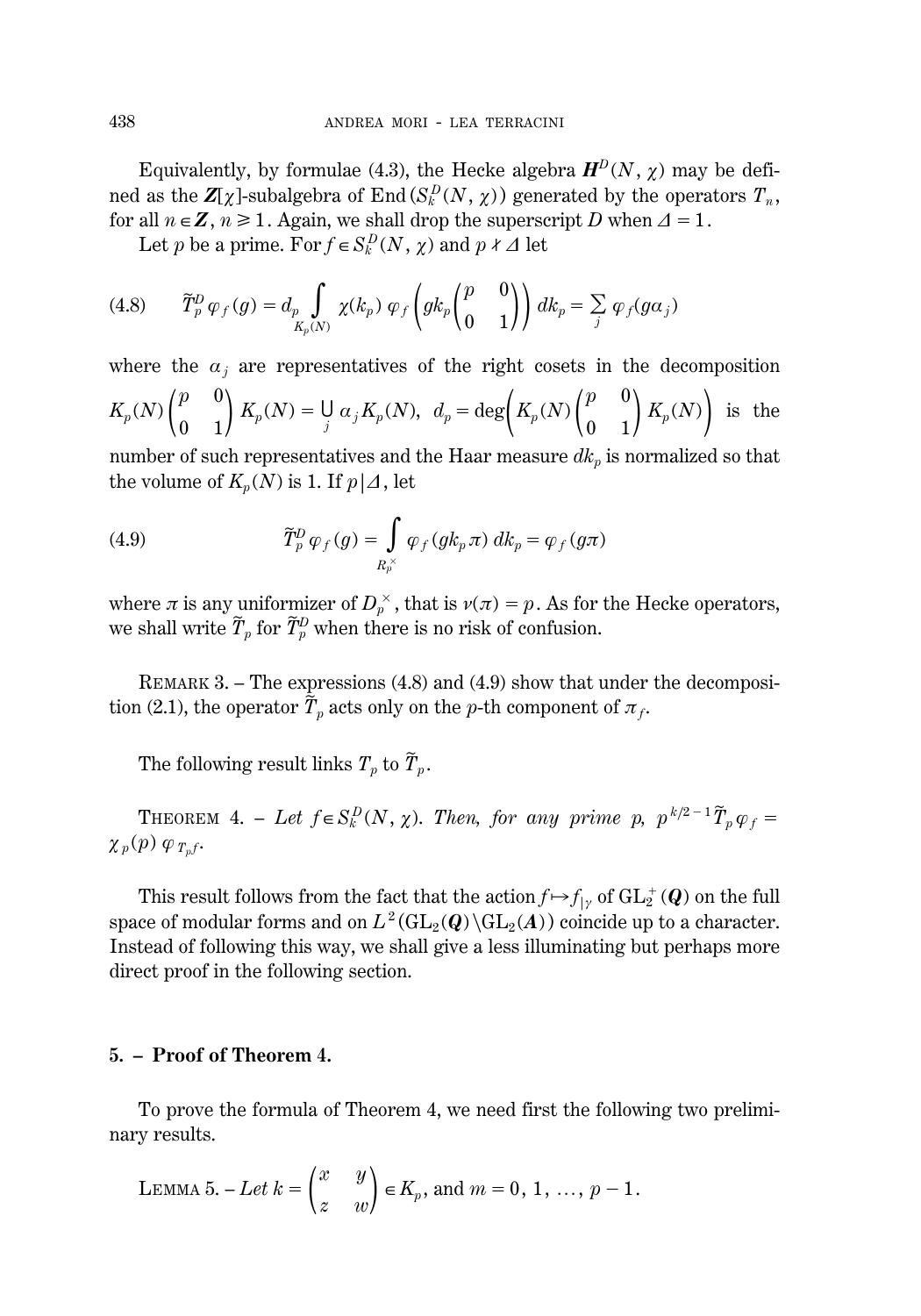Equivalently, by formulae (4.3), the Hecke algebra  $H^D(N, \chi)$  may be defined as the  $\mathbf{Z}[\chi]$ -subalgebra of End $(S_k^D(N, \chi))$  generated by the operators  $T_n$ , for all  $n \in \mathbb{Z}$ ,  $n \ge 1$ . Again, we shall drop the superscript *D* when  $\Delta = 1$ .

Let *p* be a prime. For  $f \in S_k^D(N, \chi)$  and  $p \nmid \Delta$  let

$$
(4.8) \qquad \widetilde{T}_p^D \varphi_f(g) = d_p \int\limits_{K_p(N)} \chi(k_p) \varphi_f\left(gk_p \begin{pmatrix} p & 0\\ 0 & 1 \end{pmatrix}\right) dk_p = \sum_j \varphi_f(g\alpha_j)
$$

where the 
$$
\alpha_j
$$
 are representatives of the right cosets in the decomposition  
\n
$$
K_p(N) \begin{pmatrix} p & 0 \\ 0 & 1 \end{pmatrix} K_p(N) = \bigcup_j \alpha_j K_p(N), \ d_p = \deg \left( K_p(N) \begin{pmatrix} p & 0 \\ 0 & 1 \end{pmatrix} K_p(N) \right)
$$
 is the

number of such representatives and the Haar measure  $dk_p$  is normalized so that the volume of  $K_p(N)$  is 1. If  $p\mid\Delta$ , let

(4.9) 
$$
\widetilde{T}_p^D \varphi_f(g) = \int\limits_{R_p^\times} \varphi_f(g k_p \pi) \, dk_p = \varphi_f(g \pi)
$$

where  $\pi$  is any uniformizer of  $D_p^{\times}$ , that is  $\nu(\pi) = p$ . As for the Hecke operators, we shall write  $\widetilde{T}_p$  for  $\widetilde{T}_p^D$  when there is no risk of confusion.

REMARK 3. – The expressions (4.8) and (4.9) show that under the decomposition (2.1), the operator  $\widetilde{T}_p$  acts only on the *p*-th component of  $\pi_f$ .

The following result links  $T_p$  to  $\widetilde{T}_p$ .

THEOREM 4. – Let  $f \in S_k^D(N, \chi)$ . Then, for any prime p,  $p^{k/2-1} \tilde{T}_p \varphi_f =$  $\chi_p(p) \varphi_{T_p f}$ .

This result follows from the fact that the action  $f \mapsto f_{|\gamma}$  of  $\mathrm{GL}_2^+(\bm{Q})$  on the full space of modular forms and on  $L^2(\text{GL}_2(Q)\backslash \text{GL}_2(A))$  coincide up to a character. Instead of following this way, we shall give a less illuminating but perhaps more direct proof in the following section.

#### **5. – Proof of Theorem 4.**

To prove the formula of Theorem 4, we need first the following two preliminary results.

LEMMA 5. – Let 
$$
k = \begin{pmatrix} x & y \\ z & w \end{pmatrix} \in K_p
$$
, and  $m = 0, 1, ..., p - 1$ .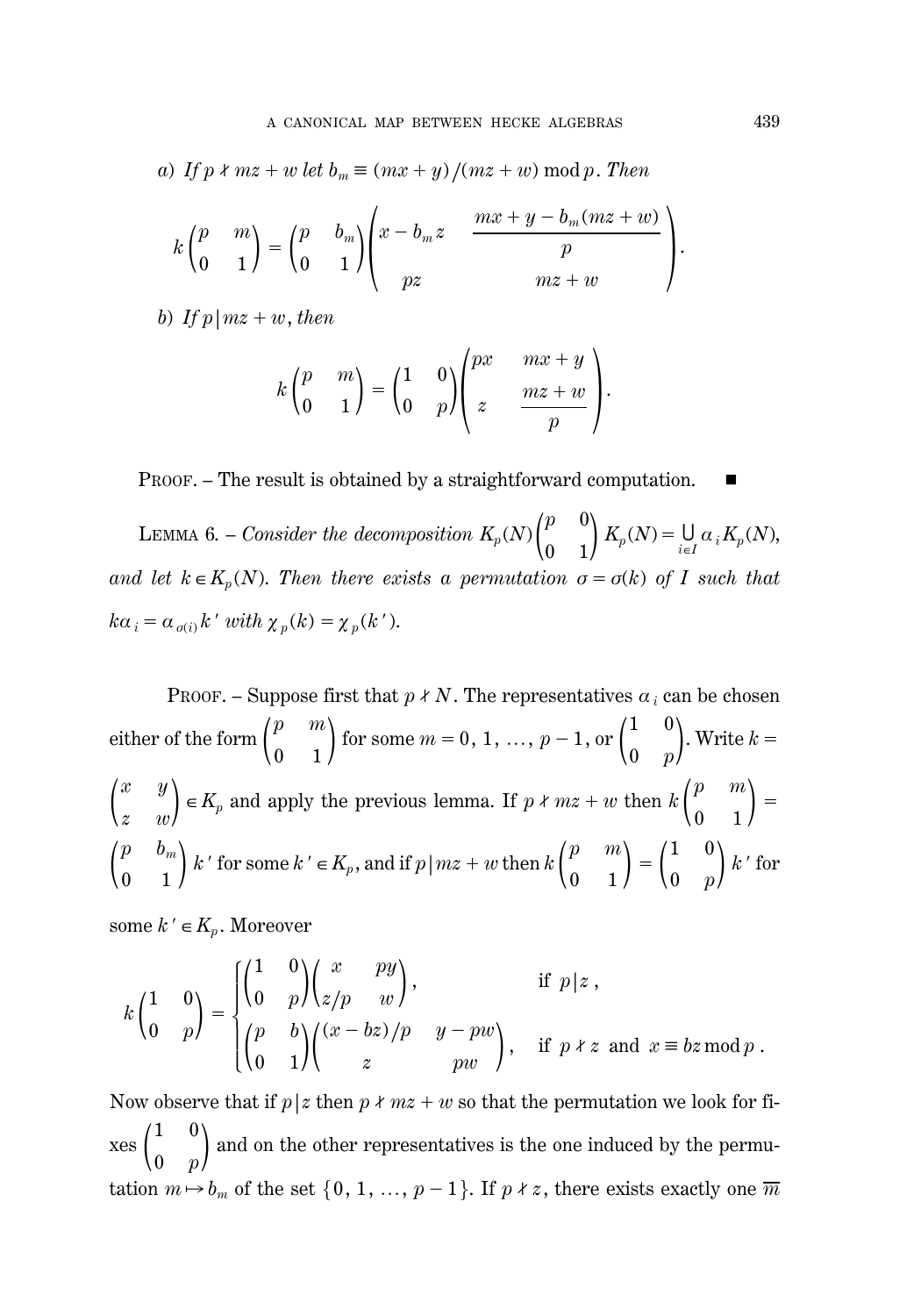*a*) *If*  $p \nmid mz + w$  *let*  $b_m \equiv (mx + y)/(mz + w) \mod p$ . *Then* 

$$
k\begin{pmatrix}p&m\\0&1\end{pmatrix}=\begin{pmatrix}p&b_m\\0&1\end{pmatrix}\begin{pmatrix}x-b_mz&\frac{mx+y-b_m(mx+w)}{p}\\pz&mx+w\end{pmatrix}.
$$

*b*) If  $p \mid mz + w$ , *then* 

$$
k\begin{pmatrix}p & m \\ 0 & 1\end{pmatrix} = \begin{pmatrix}1 & 0 \\ 0 & p\end{pmatrix}\begin{pmatrix}px & mx+y \\ z & \frac{mx+w}{p}\end{pmatrix}.
$$

PROOF. – The result is obtained by a straightforward computation.

LEMMA 6. – *Consider the decomposition*  $K_p(N)$   $\binom{p}{0}$  $\boldsymbol{0}$  $\boldsymbol{0}$  $\binom{0}{1} K_p(N) = \bigcup_{i \in I} \alpha_i K_p(N),$ *and let*  $k \in K_p(N)$ . Then there exists a permutation  $\sigma = \sigma(k)$  of I such that  $k\alpha_i = \alpha_{\sigma(i)} k'$  *with*  $\chi_p(k) = \chi_p(k')$ .

PROOF. – Suppose first that  $p \nmid N$ . The representatives  $a_i$  can be chosen either of the form  $\binom{p}{0}$  $\boldsymbol{0}$ *m*  $\binom{m}{1}$  for some  $m = 0, 1, ..., p-1$ , or  $\binom{1}{0}$  $\boldsymbol{0}$  $\boldsymbol{0}$  $\binom{0}{p}$ . Write  $k=$  $\int_{z}^{x}$ *z y*  $\binom{y}{w}$   $\in$  *K<sub>p</sub>* and apply the previous lemma. If *p k mz* + *w* then *k*  $\binom{p}{0}$  $\boldsymbol{0}$ *m*  $\binom{m}{1}$  =  $\binom{p}{0}$ 0  $b_m^{}$  $\binom{p_m}{1}$  *k*  $\prime$  for some  $k \prime \in K_p$ , and if  $p \mid mz + w$  then  $k \begin{pmatrix} p \ 0 \end{pmatrix}$  $\boldsymbol{0}$ *m*  $\binom{m}{1} = \binom{1}{0}$  $\boldsymbol{0}$  $\boldsymbol{0}$  $\binom{0}{p}$   $k$   $\prime$  for

some  $k' \in K_p$ . Moreover

$$
k\begin{pmatrix} 1 & 0 \\ 0 & p \end{pmatrix} = \begin{cases} \begin{pmatrix} 1 & 0 \\ 0 & p \end{pmatrix} \begin{pmatrix} x & py \\ z/p & w \end{pmatrix}, & \text{if } p \mid z, \\ \begin{pmatrix} p & b \\ 0 & 1 \end{pmatrix} \begin{pmatrix} (x - bz)/p & y - pw \\ z & pw \end{pmatrix}, & \text{if } p \nmid z \text{ and } x \equiv bz \mod p. \end{cases}
$$

Now observe that if  $p \mid z$  then  $p \nmid mz + w$  so that the permutation we look for fi $xes\begin{pmatrix}1\\0\end{pmatrix}$ 0  $\boldsymbol{0}$  $\binom{0}{p}$  and on the other representatives is the one induced by the permutation  $m \mapsto b_m$  of the set  $\{0, 1, ..., p-1\}$ . If  $p \nmid z$ , there exists exactly one  $\overline{m}$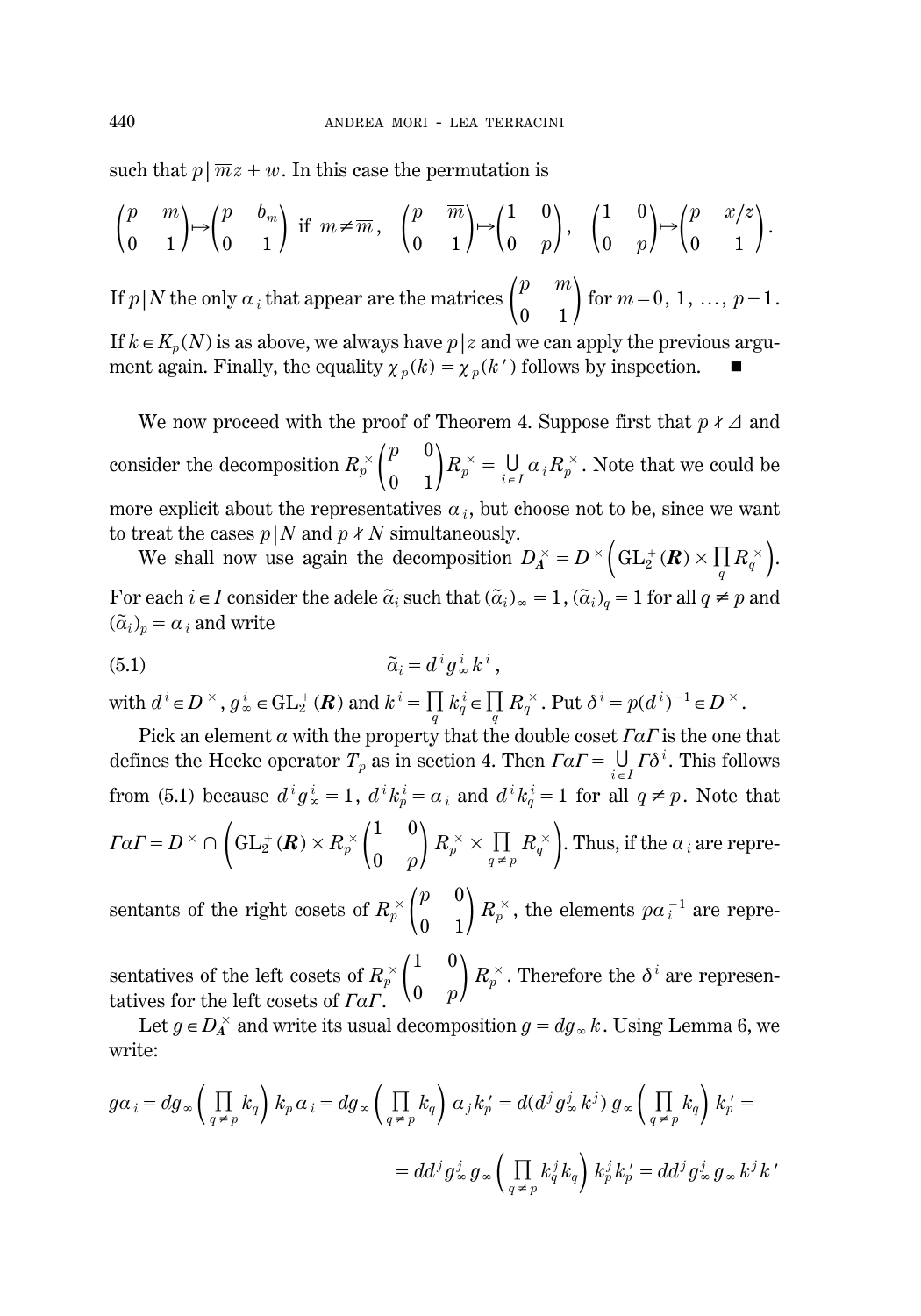such that  $p|\overline{m}z+w$ . In this case the permutation is

$$
\begin{pmatrix} p & m \\ 0 & 1 \end{pmatrix} \mapsto \begin{pmatrix} p & b_m \\ 0 & 1 \end{pmatrix} \text{ if } m \neq \overline{m}, \quad \begin{pmatrix} p & \overline{m} \\ 0 & 1 \end{pmatrix} \mapsto \begin{pmatrix} 1 & 0 \\ 0 & p \end{pmatrix}, \quad \begin{pmatrix} 1 & 0 \\ 0 & p \end{pmatrix} \mapsto \begin{pmatrix} p & x/z \\ 0 & 1 \end{pmatrix}.
$$

If  $p|N$  the only  $a_i$  that appear are the matrices  $\binom{p}{0}$  $\boldsymbol{0}$ *m*  $\binom{m}{1}$  for  $m=0, 1, ..., p-1$ .

If  $k \in K_p(N)$  is as above, we always have  $p \mid z$  and we can apply the previous argument again. Finally, the equality  $\chi_p(k) = \chi_p(k)$  follows by inspection.

We now proceed with the proof of Theorem 4. Suppose first that  $p \nmid \Delta$  and consider the decomposition  $R_p^{\times}$   $\binom{p}{0}$  $\boldsymbol{0}$  $\boldsymbol{0}$  $\binom{0}{1}R_{p}^{\times} = \bigcup_{i \in I}\alpha_{i}R_{p}^{\times}.$  Note that we could be more explicit about the representatives  $a_i$ , but choose not to be, since we want to treat the cases  $p|N$  and  $p \nmid N$  simultaneously.

Frequencies  $p|N$  and  $p \nmid N$  simultaneously.<br>We shall now use again the decomposition  $D_A^{\times} = D^{\times} \left( GL_2^+(\mathbf{R}) \times \prod_q R_q^{\times} \right)$ . For each  $i \in I$  consider the adele  $\tilde{a}_i$  such that  $(\tilde{a}_i)_{\infty} = 1$ ,  $(\tilde{a}_i)_q = 1$  for all  $q \neq p$  and  $(\tilde{a}_i)_p = a_i$  and write

$$
\tilde{a}_i = d^i g^i_{\infty} k^i ,
$$

with  $d^i \in D^\times$ ,  $g^i_\infty \in GL_2^+(\mathbf{R})$  and  $k^i = \prod_q k^i_q \in \prod_q R^\times_q$ . Put  $\delta^i = p(d^i)^{-1} \in D^\times$ .

Pick an element  $\alpha$  with the property that the double coset  $\Gamma \alpha \Gamma$  is the one that defines the Hecke operator  $T_p$  as in section 4. Then  $\Gamma \alpha \Gamma = \bigcup_{i \in I} \Gamma \delta^i$ . This follows from (5.1) because  $d^i g^i_{\infty} = 1$ ,  $d^i k^i_p = \alpha_i$  and  $d^i k^i_q = 1$  for all  $q \neq p$ . Note that  $\varGamma a\varGamma = D^{\,\times}\cap\,\bigg(\mathrm{GL}_2^+(\bm{R})\times R_p^{\,\times}\bigg(\begin{matrix} 1\ 0\ \end{matrix}\bigg)$  $\boldsymbol{0}$  $\boldsymbol{0}$  $\binom{0}{p}R_p^\times \times \prod\limits_{q\,\neq\,p}R_q^\times\bigg).$  Thus, if the  $a$   $_i$  are repre-

sentants of the right cosets of  $R_p^{\times} \begin{pmatrix} p \\ 0 \end{pmatrix}$  $\boldsymbol{0}$  $\boldsymbol{0}$  $\binom{0}{1}R_p^{\times}$ , the elements  $pa_i^{-1}$  are repre-

sentatives of the left cosets of  $R_p^{\times}$  $\begin{pmatrix} 1 \\ 0 \end{pmatrix}$  $\boldsymbol{0}$  $\boldsymbol{0}$  $\genfrac{}{}{0pt}{}{0}{p}\mathcal{R}_{p}^{\times}.$  Therefore the  $\delta^{i}$  are representatives for the left cosets of *FaF*.

Let  $g \in D_A^\times$  and write its usual decomposition  $g = dg_\infty k$ . Using Lemma 6, we write:

$$
g\alpha_i = dg_{\infty} \left( \prod_{q \neq p} k_q \right) k_p \alpha_i = dg_{\infty} \left( \prod_{q \neq p} k_q \right) \alpha_j k'_p = d(d^j g^j_{\infty} k^j) g_{\infty} \left( \prod_{q \neq p} k_q \right) k'_p =
$$
  
=  $dd^j g^j_{\infty} g_{\infty} \left( \prod_{q \neq p} k^j_q k_q \right) k^j_p k'_p = dd^j g^j_{\infty} g_{\infty} k^j k'$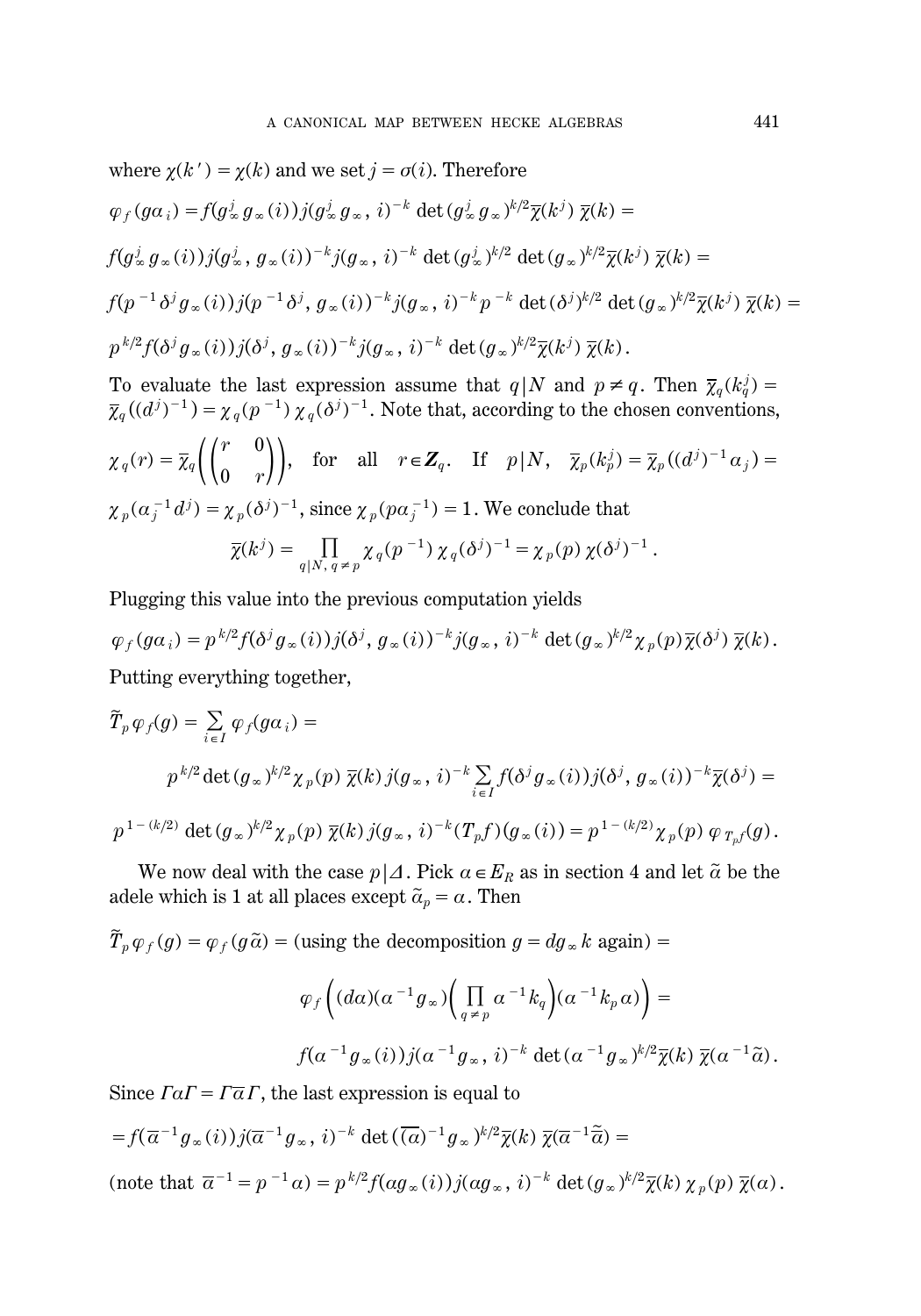where 
$$
\chi(k') = \chi(k)
$$
 and we set  $j = \sigma(i)$ . Therefore  
\n
$$
\varphi_f(g\alpha_i) = f(g^j_{\infty} g_{\infty}(i))j(g^j_{\infty} g_{\infty}, i)^{-k} \det(g^j_{\infty} g_{\infty})^{k/2} \overline{\chi}(k^j) \overline{\chi}(k) =
$$
\n
$$
f(g^j_{\infty} g_{\infty}(i))j(g^j_{\infty}, g_{\infty}(i))^{-k} j(g_{\infty}, i)^{-k} \det(g^j_{\infty})^{k/2} \det(g_{\infty})^{k/2} \overline{\chi}(k^j) \overline{\chi}(k) =
$$
\n
$$
f(p^{-1} \delta^j g_{\infty}(i))j(p^{-1} \delta^j, g_{\infty}(i))^{-k} j(g_{\infty}, i)^{-k} p^{-k} \det(\delta^j)^{k/2} \det(g_{\infty})^{k/2} \overline{\chi}(k^j) \overline{\chi}(k) =
$$
\n
$$
p^{k/2} f(\delta^j g_{\infty}(i))j(\delta^j, g_{\infty}(i))^{-k} j(g_{\infty}, i)^{-k} \det(g_{\infty})^{k/2} \overline{\chi}(k^j) \overline{\chi}(k).
$$

To evaluate the last expression assume that  $q|N$  and  $p \neq q$ . Then  $\overline{\chi}_q(k_q^j)$  $\overline{\chi}_q((d^j)^{-1}) = \chi_q(p^{-1}) \chi_q(\delta^j)^{-1}$ . Note that, according to the chosen conventions,  $\chi_{q}(r) = \overline{\chi}_{q}\bigg(\bigg(\begin{matrix} r \ 0 \end{matrix}\bigg)$  $\boldsymbol{0}$  $\binom{0}{r}$ , for all  $r \in \mathbb{Z}_q$ . If  $p \mid N$ ,  $\overline{\chi}_p(k_p^j) = \overline{\chi}_p((d^j)^{-1}\alpha_j) =$  $\chi_{p}(\alpha_{j}^{-1}d^{j}) = \chi_{p}(\delta^{j})^{-1},$  since  $\chi_{p}(p\alpha_{j}^{-1}) = 1.$  We conclude that  $\overline{\chi}(k^j) = \prod_{q \mid N, q \neq p} \chi_q(p^{-1}) \chi_q(\delta^j)^{-1} = \chi_p(p) \chi(\delta^j)^{-1}.$ 

Plugging this value into the previous computation yields

 $\varphi_f(g\alpha_i)=p^{k/2}f(\delta^j g_\infty(i))j(\delta^j, g_\infty(i))^{-k}j(g_\infty, i)^{-k}\det(g_\infty)^{k/2}\chi_p(p)\overline{\chi}(\delta^j)\ \overline{\chi}(k).$ Putting everything together,

$$
\widetilde{T}_p \varphi_f(g) = \sum_{i \in I} \varphi_f(g\alpha_i) =
$$
\n
$$
p^{k/2} \det(g_\infty)^{k/2} \chi_p(p) \overline{\chi}(k) j(g_\infty, i)^{-k} \sum_{i \in I} f(\delta^j g_\infty(i)) j(\delta^j, g_\infty(i))^{-k} \overline{\chi}(\delta^j) =
$$
\n
$$
p^{1 - (k/2)} \det(g_\infty)^{k/2} \chi_p(p) \overline{\chi}(k) j(g_\infty, i)^{-k} (T_p f)(g_\infty(i)) = p^{1 - (k/2)} \chi_p(p) \varphi_{T_p f}(g).
$$

We now deal with the case  $p\mid\Delta$ . Pick  $\alpha \in E_R$  as in section 4 and let  $\tilde{\alpha}$  be the adele which is 1 at all places except  $\widetilde{\alpha}_p = \alpha$  . Then

 $\widetilde{T}_p \varphi_f(g) = \varphi_f(g \widetilde{a})$  = (using the decomposition  $g = dg_\infty k$  again) =

$$
\varphi_f\left((d\alpha)(\alpha^{-1}g_{\infty})\left(\prod_{q\neq p}\alpha^{-1}k_q\right)(\alpha^{-1}k_p\alpha)\right)=
$$
  

$$
f(\alpha^{-1}g_{\infty}(i))j(\alpha^{-1}g_{\infty},i)^{-k}\det(\alpha^{-1}g_{\infty})^{k/2}\overline{\chi}(k)\ \overline{\chi}(\alpha^{-1}\widetilde{\alpha}).
$$

Since  $TaT = T\overline{a}T$ , the last expression is equal to

$$
= f(\overline{\alpha}^{-1} g_{\infty}(i)) j(\overline{\alpha}^{-1} g_{\infty}, i)^{-k} \det(\overline{(\alpha})^{-1} g_{\infty})^{k/2} \overline{\chi}(k) \overline{\chi}(\overline{\alpha}^{-1} \overline{\widetilde{\alpha}}) =
$$
  
(note that  $\overline{\alpha}^{-1} = p^{-1} \alpha) = p^{k/2} f(\alpha g_{\infty}(i)) j(\alpha g_{\infty}, i)^{-k} \det(g_{\infty})^{k/2} \overline{\chi}(k) \chi_{p}(p) \overline{\chi}(\alpha).$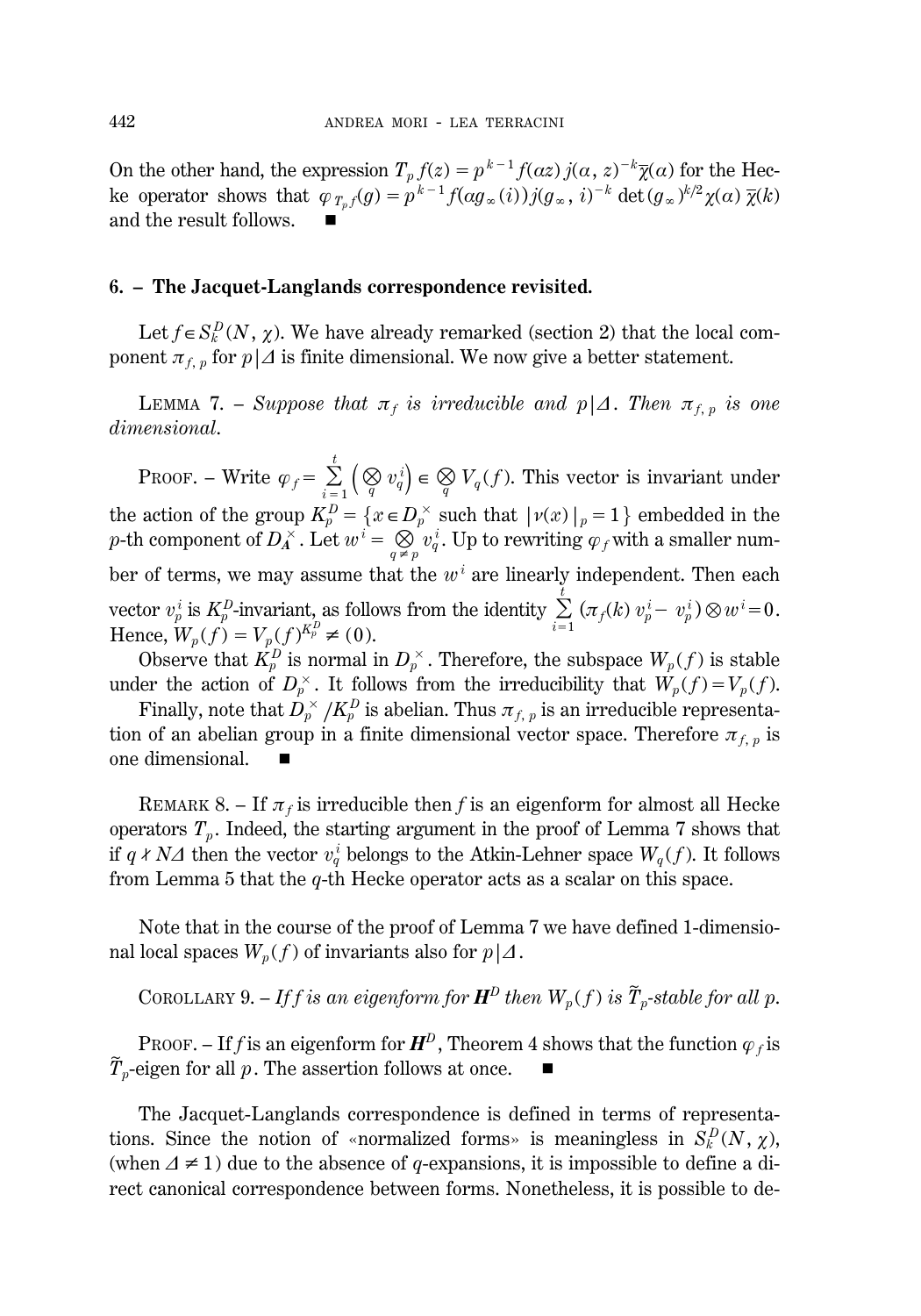On the other hand, the expression  $T_p f(z) = p^{k-1} f(\alpha z) j(\alpha, z)^{-k} \overline{\chi}(\alpha)$  for the Hecke operator shows that  $\varphi_{T_p}(g) = p^{k-1} f(\alpha g_\infty(i)) j(g_\infty, i)^{-k} \det(g_\infty)^{k/2} \chi(\alpha) \overline{\chi}(k)$ and the result follows.  $\blacksquare$ 

#### **6. – The Jacquet-Langlands correspondence revisited.**

Let  $f \in S_k^D(N, \chi)$ . We have already remarked (section 2) that the local component  $\pi_{f, p}$  for  $p | \Delta$  is finite dimensional. We now give a better statement.

**LEMMA 7.** – *Suppose that*  $\pi_f$  *is irreducible and*  $p|A$ *. Then*  $\pi_{f, p}$  *is one dimensional*.

PROOF. – Write  $\varphi_f = \sum_{i=1}^t \left( \bigotimes_q v_q^i \right) \in \bigotimes_q V_q(f)$ . This vector is invariant under  $i=1$ the action of the group  $K_p^D = \{x \in D_p^\times \text{ such that } | \nu(x) |_p = 1 \}$  embedded in the *p*-th component of  $D_A^{\times}$ . Let  $w^i = \bigotimes_{q \neq p} v_q^i$ . Up to rewriting  $\varphi_f$  with a smaller number of terms, we may assume that the  $w<sup>i</sup>$  are linearly independent. Then each vector  $v_p^i$  is  $K_p^D$ -invariant, as follows from the identity  $\sum_{i=1}^t$ <br>Honce  $W(f) - V(f)K_p^D \neq (0)$  $\sum_{i=1}^t \left(\pi_f(k) \; v_p^i - \; v_p^i\right) \otimes w^i \!=\! 0.$ Hence,  $W_p(f) = V_p(f)^{K_p^D} \neq (0)$ .

Observe that  $K_p^D$  is normal in  $D_p^{\times}$ . Therefore, the subspace  $W_p(f)$  is stable under the action of  $D_p^{\times}$ . It follows from the irreducibility that  $W_p(f) = V_p(f)$ .

Finally, note that  $D_p^{\times}/K_p^D$  is abelian. Thus  $\pi_{f, p}$  is an irreducible representation of an abelian group in a finite dimensional vector space. Therefore  $\pi_{f, p}$  is one dimensional.

REMARK 8. – If  $\pi_f$  is irreducible then *f* is an eigenform for almost all Hecke operators  $T_p$ . Indeed, the starting argument in the proof of Lemma 7 shows that if  $q \nmid N\Delta$  then the vector  $v_q^i$  belongs to the Atkin-Lehner space  $W_q(f)$ . It follows from Lemma 5 that the *q*-th Hecke operator acts as a scalar on this space.

Note that in the course of the proof of Lemma 7 we have defined 1-dimensional local spaces  $W_p(f)$  of invariants also for  $p\mid\Delta$ .

COROLLARY 9. – If f is an eigenform for 
$$
\mathbf{H}^D
$$
 then  $W_p(f)$  is  $\widetilde{T}_p$ -stable for all p.

PROOF. – If *f* is an eigenform for  $H^D$ , Theorem 4 shows that the function  $\varphi_f$  is  $\widetilde{T}_p$ -eigen for all *p*. The assertion follows at once.

The Jacquet-Langlands correspondence is defined in terms of representations. Since the notion of «normalized forms» is meaningless in  $S_k^D(N, \chi)$ , (when  $\Delta \neq 1$ ) due to the absence of *q*-expansions, it is impossible to define a direct canonical correspondence between forms. Nonetheless, it is possible to de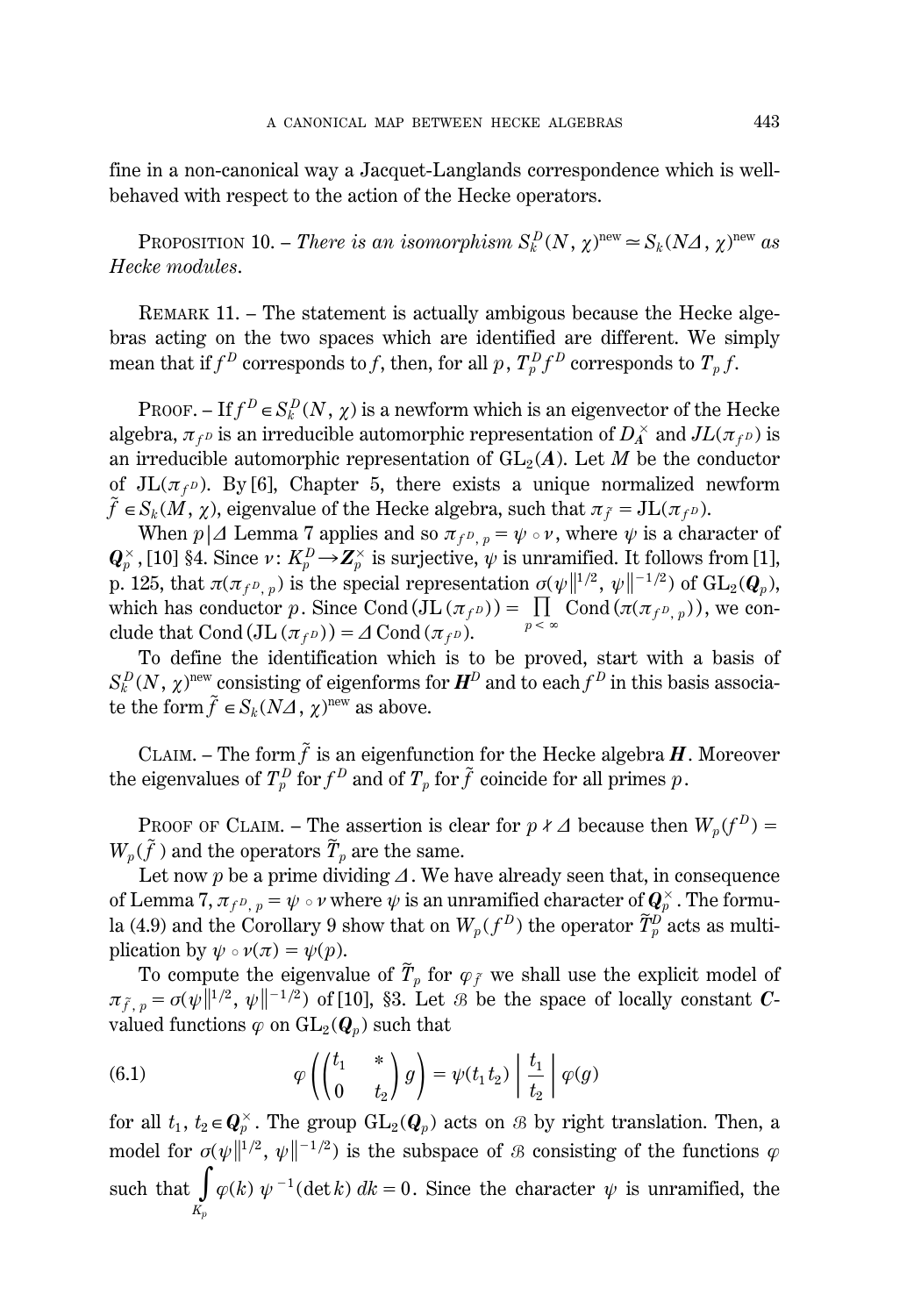fine in a non-canonical way a Jacquet-Langlands correspondence which is wellbehaved with respect to the action of the Hecke operators.

PROPOSITION 10. – *There is an isomorphism*  $S_k^D(N, \chi)$ <sup>new</sup>  $\approx S_k(N\Delta, \chi)$ <sup>new</sup> as *Hecke modules*.

REMARK 11. – The statement is actually ambigous because the Hecke algebras acting on the two spaces which are identified are different. We simply mean that if  $f^D$  corresponds to  $f$ , then, for all  $p$  ,  $T^D_p f^D$  corresponds to  $T_p f$ .

PROOF. – If  $f^D \in S_k^D(N, \chi)$  is a newform which is an eigenvector of the Hecke algebra,  $\pi_{f^D}$  is an irreducible automorphic representation of  $D_A^\times$  and  $JL(\pi_{f^D})$  is an irreducible automorphic representation of  $GL_2(A)$ . Let *M* be the conductor of  $JL(\pi_f p)$ . By [6], Chapter 5, there exists a unique normalized newform  $\tilde{f} \in S_k(M,\,\chi) ,$  eigenvalue of the Hecke algebra, such that  $\pi_{\tilde{f}} = \mathrm{JL}(\pi_{f^D}).$ 

When *p*| $\Delta$  Lemma 7 applies and so  $\pi_{f^D, p} = \psi \circ \nu$ , where  $\psi$  is a character of  $Q_p^{\times}$ , [10] §4. Since  $\nu$ :  $K_p^D{\to} \mathbf{Z}_p^{\times}$  is surjective,  $\psi$  is unramified. It follows from [1], p. 125, that  $\pi(\pi_{f^D, p})$  is the special representation  $\sigma(\psi\|^{1/2}, \psi\|^{-1/2})$  of  $GL_2(Q_p)$ , which has conductor *p*. Since Cond  $(JL (\pi_{f^D})) = \prod_{p}^{n}$  Cond  $(\pi(\pi_{f^D,p}))$ , we con $p < \infty$ clude that Cond  $(JL(\pi_f P)) = \Delta \text{Cond}(\pi_f P)$ .

To define the identification which is to be proved, start with a basis of  $S_k^D(N,\,\chi)^{\rm new}$  consisting of eigenforms for  $\boldsymbol{H}^D$  and to each  $f^D$  in this basis associate the form  $\tilde{f} \in S_k (N\Delta, \chi)$ <sup>new</sup> as above.

CLAIM. – The form  $\tilde{f}$  is an eigenfunction for the Hecke algebra  $H$ . Moreover the eigenvalues of  $T_p^D$  for  $f^D$  and of  $T_p$  for  $\tilde{f}$  coincide for all primes  $p$ .

PROOF OF CLAIM. – The assertion is clear for  $p \nmid \Delta$  because then  $W_p(f^D)$  =  $W_p(\tilde{f})$  and the operators  $\widetilde{T}_p$  are the same.

Let now  $p$  be a prime dividing  $\Delta$ . We have already seen that, in consequence of Lemma 7,  $\pi_{f^D,~p}=\psi\circ\nu$  where  $\psi$  is an unramified character of  $\bm{Q}_p^{\times}$  . The formula (4.9) and the Corollary 9 show that on  $W_p(f^D)$  the operator  $\widetilde{T}_p^D$  acts as multiplication by  $\psi \circ \nu(\pi) = \psi(p)$ .

To compute the eigenvalue of  $\widetilde{T}_p$  for  $\varphi_{\widetilde{f}}$  we shall use the explicit model of  $\pi_{\tilde{f}, p} = o(\psi \|^{1/2}, \psi \|^{-1/2})$  of [10], §3. Let *&* be the space of locally constant *C*valued functions  $\varphi$  on  $GL_2(\mathbf{Q}_p)$  such that

(6.1) 
$$
\varphi\left(\begin{pmatrix}t_1 & * \\ 0 & t_2\end{pmatrix}g\right) = \psi(t_1t_2)\left|\frac{t_1}{t_2}\right|\varphi(g)
$$

for all  $t_1, t_2 \in \mathbb{Q}_p^{\times}$ . The group  $\mathrm{GL}_2(\mathbb{Q}_p)$  acts on  $\mathcal B$  by right translation. Then, a model for  $\sigma(\psi\|^{1/2}, \psi\|^{-1/2})$  is the subspace of  $\mathcal B$  consisting of the functions  $\varphi$ such that  $\int$ *Kp*  $\varphi(k)$   $\psi^{-1}$ (det *k*)  $dk = 0$ . Since the character  $\psi$  is unramified, the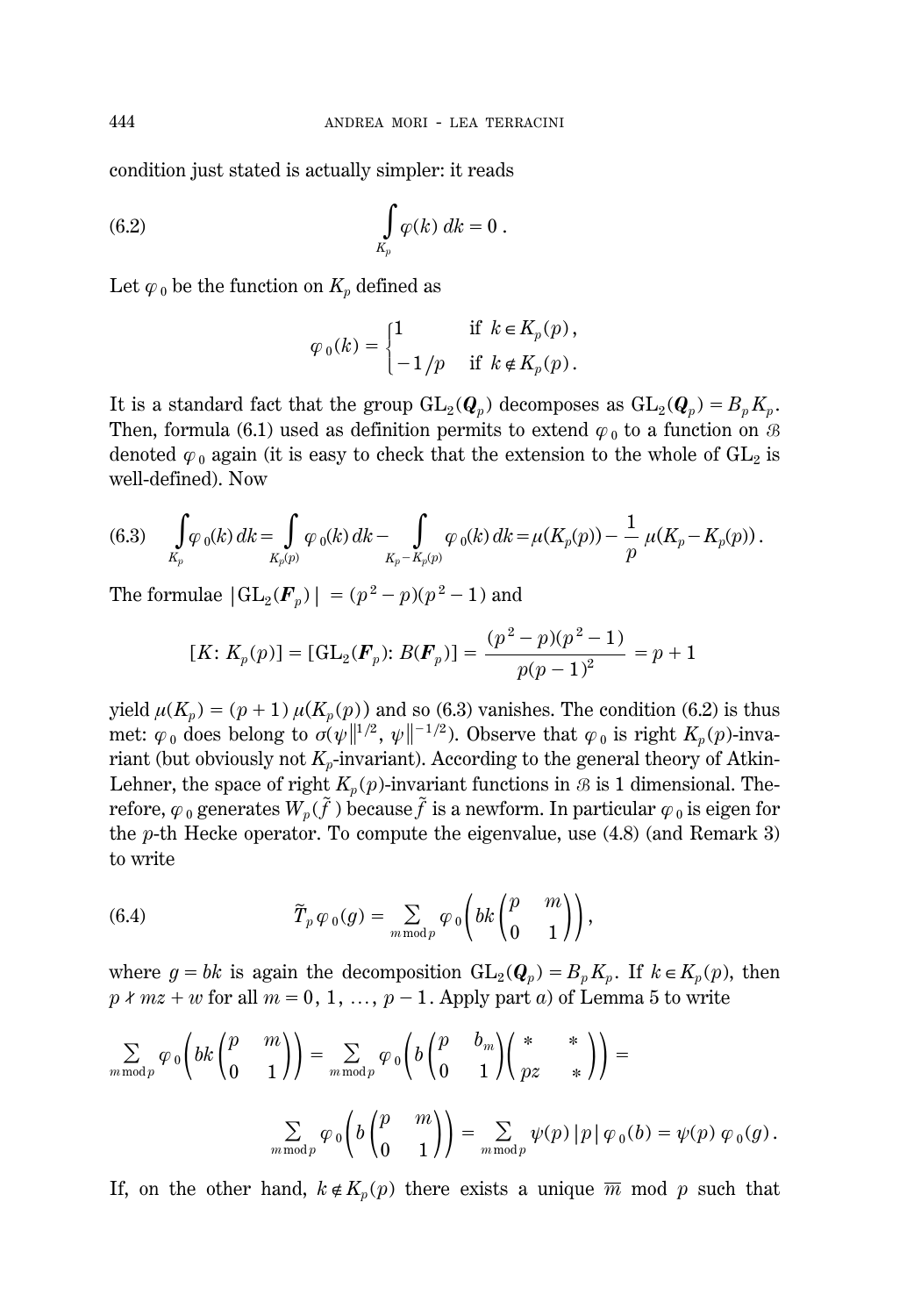condition just stated is actually simpler: it reads

$$
\int\limits_{K_p} \varphi(k) \, dk = 0 \; .
$$

Let  $\varphi_0$  be the function on  $K_p$  defined as

$$
\varphi_0(k) = \begin{cases} 1 & \text{if } k \in K_p(p), \\ -1/p & \text{if } k \notin K_p(p). \end{cases}
$$

It is a standard fact that the group  $GL_2(Q_p)$  decomposes as  $GL_2(Q_p) = B_p K_p$ . Then, formula (6.1) used as definition permits to extend  $\varphi_0$  to a function on B denoted  $\varphi_0$  again (it is easy to check that the extension to the whole of  $GL_2$  is well-defined). Now

(6.3) 
$$
\int_{K_p} \varphi_0(k) dk = \int_{K_p(p)} \varphi_0(k) dk - \int_{K_p - K_p(p)} \varphi_0(k) dk = \mu(K_p(p)) - \frac{1}{p} \mu(K_p - K_p(p)).
$$

The formulae  $|GL_2(\mathbf{F}_p)| = (p^2 - p)(p^2 - 1)$  and

$$
[K: K_p(p)] = [\mathrm{GL}_2(\mathbf{F}_p): B(\mathbf{F}_p)] = \frac{(p^2 - p)(p^2 - 1)}{p(p - 1)^2} = p + 1
$$

yield  $\mu(K_p) = (p+1) \mu(K_p(p))$  and so (6.3) vanishes. The condition (6.2) is thus met:  $\varphi_0$  does belong to  $\sigma(\psi\|^{1/2}, \psi\|^{-1/2})$ . Observe that  $\varphi_0$  is right  $K_p(p)$ -invariant (but obviously not  $K_p$ -invariant). According to the general theory of Atkin-Lehner, the space of right  $K_p(p)$ -invariant functions in B is 1 dimensional. Therefore,  $\varphi$   $_0$  generates  $W_p(\tilde f$  ) because  $\tilde f$  is a newform. In particular  $\varphi$   $_0$  is eigen for the *p*-th Hecke operator. To compute the eigenvalue, use (4.8) (and Remark 3) to write

(6.4) 
$$
\widetilde{T}_p \varphi_0(g) = \sum_{m \bmod p} \varphi_0 \left( bk \begin{pmatrix} p & m \\ 0 & 1 \end{pmatrix} \right),
$$

where  $g = bk$  is again the decomposition  $GL_2(Q_p) = B_p K_p$ . If  $k \in K_p(p)$ , then  $p \nmid mz + w$  for all  $m = 0, 1, ..., p - 1$ . Apply part *a*) of Lemma 5 to write

$$
\sum_{m \bmod p} \varphi_0 \left(bk \begin{pmatrix} p & m \\ 0 & 1 \end{pmatrix} \right) = \sum_{m \bmod p} \varphi_0 \left(b \begin{pmatrix} p & b_m \\ 0 & 1 \end{pmatrix} \begin{pmatrix} * & * \\ pz & * \end{pmatrix} \right) =
$$

$$
\sum_{m \bmod p} \varphi_0 \left(b \begin{pmatrix} p & m \\ 0 & 1 \end{pmatrix} \right) = \sum_{m \bmod p} \psi(p) |p| \varphi_0(b) = \psi(p) \varphi_0(g).
$$

If, on the other hand,  $k \notin K_p(p)$  there exists a unique  $\overline{m}$  mod p such that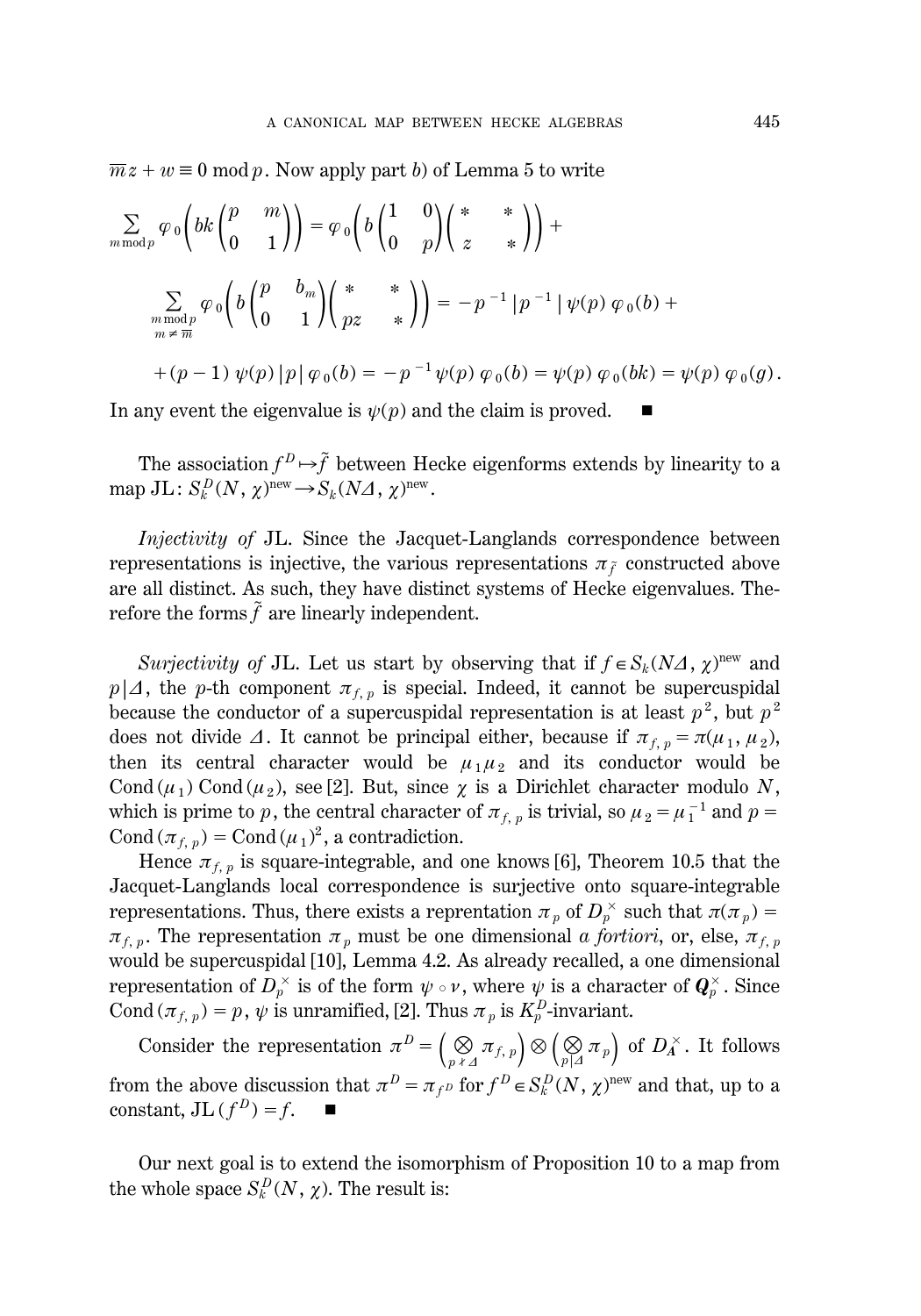$m\overline{x} + w \equiv 0 \mod p$ . Now apply part *b*) of Lemma 5 to write

$$
\sum_{m \bmod p} \varphi_0 \left(bk \begin{pmatrix} p & m \\ 0 & 1 \end{pmatrix}\right) = \varphi_0 \left(b \begin{pmatrix} 1 & 0 \\ 0 & p \end{pmatrix} \begin{pmatrix} * & * \\ z & * \end{pmatrix}\right) +
$$
  

$$
\sum_{\substack{m \bmod p \\ m \neq \overline{m}}} \varphi_0 \left(b \begin{pmatrix} p & b_m \\ 0 & 1 \end{pmatrix} \begin{pmatrix} * & * \\ pz & * \end{pmatrix}\right) = -p^{-1} |p^{-1}| \psi(p) \varphi_0(b) +
$$
  
+  $(p-1) \psi(p) |p| \varphi_0(b) = -p^{-1} \psi(p) \varphi_0(b) = \psi(p) \varphi_0(bk) = \psi(p) \varphi_0(g).$ 

In any event the eigenvalue is  $\psi(p)$  and the claim is proved.

The association  $f^D \!\mapsto\!\! {\tilde f}$  between Hecke eigenforms extends by linearity to a  $\text{map }\text{JL}: S_k^D(N, \chi)^{\text{new}} \rightarrow S_k(N\Delta, \chi)^{\text{new}}.$ 

*Injectivity of* JL. Since the Jacquet-Langlands correspondence between representations is injective, the various representations  $\pi_{\tilde{f}}$  constructed above are all distinct. As such, they have distinct systems of Hecke eigenvalues. Therefore the forms  $\tilde{f}$  are linearly independent.

*Surjectivity of* JL. Let us start by observing that if  $f \in S_k(\overline{N\Delta}, \chi)$ <sup>new</sup> and  $p\mid\Delta$ , the *p*-th component  $\pi_{f,p}$  is special. Indeed, it cannot be supercuspidal because the conductor of a supercuspidal representation is at least  $p^2$ , but  $p^2$ does not divide  $\Delta$ . It cannot be principal either, because if  $\pi_{f, p} = \pi(\mu_1, \mu_2)$ , then its central character would be  $\mu_1 \mu_2$  and its conductor would be Cond  $(\mu_1)$  Cond  $(\mu_2)$ , see [2]. But, since  $\chi$  is a Dirichlet character modulo *N*, which is prime to *p*, the central character of  $\pi_{f, p}$  is trivial, so  $\mu_2 = \mu_1^{-1}$  and  $p =$ Cond  $(\pi_{f, p})$  = Cond  $(\mu_1)^2$ , a contradiction.

Hence  $\pi_{f, p}$  is square-integrable, and one knows [6], Theorem 10.5 that the Jacquet-Langlands local correspondence is surjective onto square-integrable representations. Thus, there exists a reprentation  $\pi_p$  of  $D_p^{\times}$  such that  $\pi(\pi_p) =$  $\pi_{f,p}$ . The representation  $\pi_p$  must be one dimensional *a fortiori*, or, else,  $\pi_{f,p}$ would be supercuspidal [10], Lemma 4.2. As already recalled, a one dimensional representation of  $D_p^{\times}$  is of the form  $\psi \circ \nu,$  where  $\psi$  is a character of  $\bm{Q}_p^{\times}.$  Since Cond  $(\pi_{f, p}) = p$ ,  $\psi$  is unramified, [2]. Thus  $\pi_p$  is  $K_p^D$ -invariant.

Consider the representation  $\pi^D = \left(\bigotimes_{p \times \Delta} \pi_{f, p}\right) \otimes \left(\bigotimes_{p \mid \Delta} \pi_p\right)$  of  $D_A^\times$ . It follows from the above discussion that  $\pi^D = \pi_{f^D}$  for  $f^D \in S_k^D(N, \chi)^{\text{new}}$  and that, up to a constant,  $JL(f^D) = f$ .

Our next goal is to extend the isomorphism of Proposition 10 to a map from the whole space  $S_k^D(N, \chi)$ . The result is: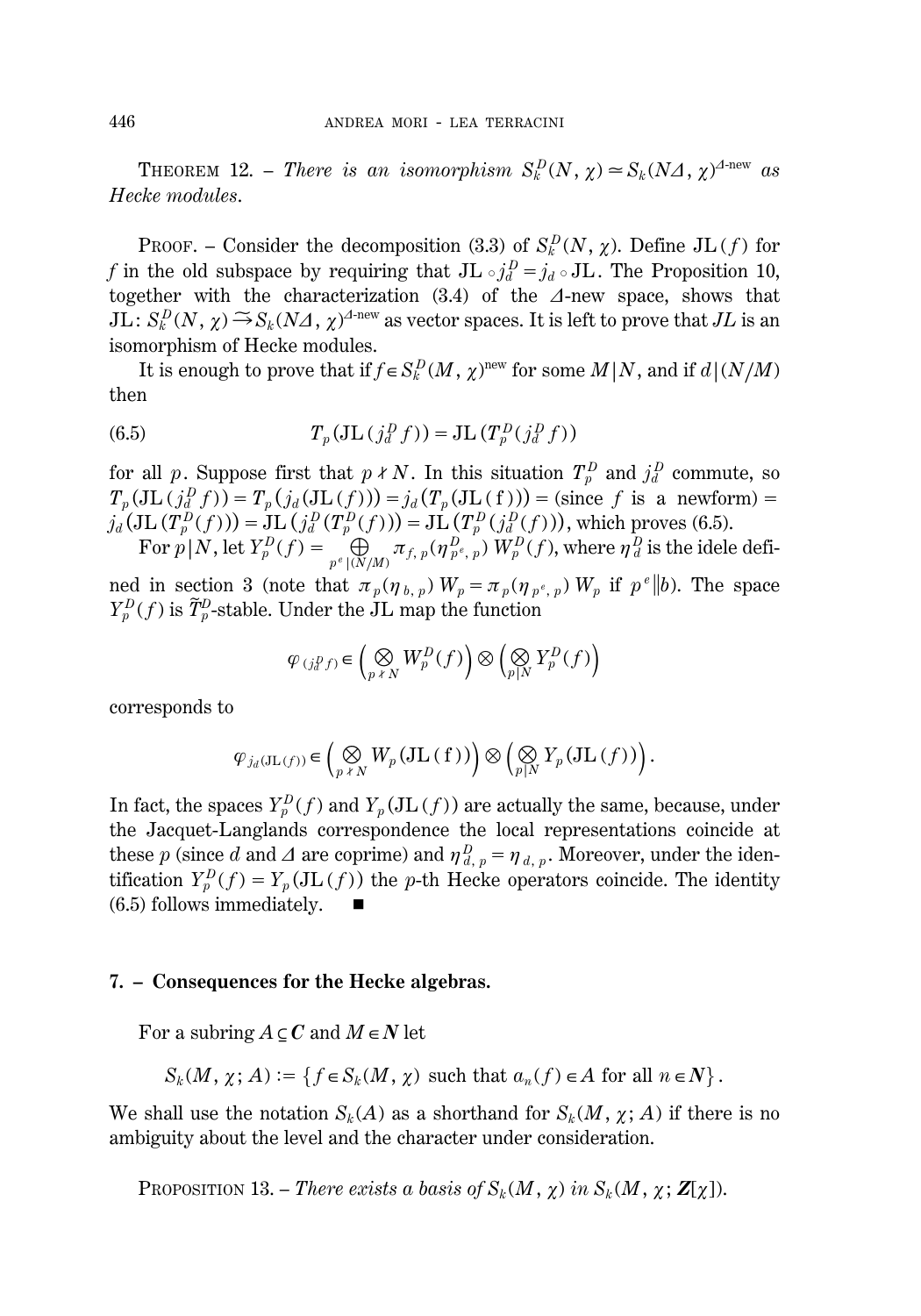**THEOREM** 12. – *There is an isomorphism*  $S_k^D(N, \chi) \approx S_k(N\Delta, \chi)^{\Delta \text{-new}}$  as *Hecke modules*.

PROOF. – Consider the decomposition (3.3) of  $S_k^D(N, \chi)$ . Define JL (f) for *f* in the old subspace by requiring that  $JL \circ j_d^D = j_d \circ JL$ . The Proposition 10, together with the characterization (3.4) of the *D*-new space, shows that  $JL: S_k^D(N, \chi) \to S_k(N\Delta, \chi)^{\Delta-\text{new}}$  as vector spaces. It is left to prove that  $JL$  is an isomorphism of Hecke modules.

It is enough to prove that if  $f \in S_k^D(M, \chi)$ <sup>new</sup> for some  $M \mid N$ , and if  $d \mid (N/M)$ then

(6.5) 
$$
T_p(\text{JL}\left(\begin{array}{c}I_d^D f\end{array}\right)) = \text{JL}\left(T_p^D\left(\begin{array}{c}I_d^D f\end{array}\right)\right)
$$

for all p. Suppose first that  $p \nmid N$ . In this situation  $T_p^D$  and  $j_d^D$  commute, so  $T_p(\text{JL}(j_d^D f)) = T_p(j_d(\text{JL}(f))) = j_d(T_p(\text{JL}(f))) = \text{(since } f \text{ is a newform)} =$  $j_d$  (JL  $(T_p^D(f))$ ) = JL  $(j_d^D(T_p^D(f)))$  = JL  $(T_p^D(j_d^D(f)))$ , which proves (6.5). For  $p|N$ , let  $Y_p^D(f) = \bigoplus_{p^e | (N/M)} \pi_{f, p}(\eta_{p^e, p}^D) W_p^D(f)$ , where  $\eta_d^D$  is the idele defi-

ned in section 3 (note that  $\pi_p(\eta_{b,p}) W_p = \pi_p(\eta_{p^e,p}) W_p$  if  $p^e \parallel b$ ). The space  $Y_p^D(f)$  is  $\widetilde{T}_p^D$ -stable. Under the JL map the function

$$
\varphi_{(j_q^D f)} \in \left(\bigotimes_{p \times N} W_p^D(f)\right) \otimes \left(\bigotimes_{p \mid N} Y_p^D(f)\right)
$$

corresponds to

$$
\varphi_{j_d(\mathbf{J}\mathbf{L}(f))} \in \left(\bigotimes_{p \text{~*} \text{~}N} W_p(\mathbf{J}\mathbf{L}(f))\right) \otimes \left(\bigotimes_{p|N} Y_p(\mathbf{J}\mathbf{L}(f))\right).
$$

In fact, the spaces  $Y_p^D(f)$  and  $Y_p(\text{JL}(f))$  are actually the same, because, under the Jacquet-Langlands correspondence the local representations coincide at these  $p$  (since *d* and  $\Delta$  are coprime) and  $\eta_{d, p}^D = \eta_{d, p}$ . Moreover, under the identification  $Y_p^D(f) = Y_p(\text{JL}(f))$  the *p*-th Hecke operators coincide. The identity  $(6.5)$  follows immediately.

#### **7. – Consequences for the Hecke algebras.**

For a subring  $A \subset C$  and  $M \in N$  let

$$
S_k(M, \chi; A) := \left\{ f \in S_k(M, \chi) \text{ such that } a_n(f) \in A \text{ for all } n \in \mathbb{N} \right\}.
$$

We shall use the notation  $S_k(A)$  as a shorthand for  $S_k(M, \chi; A)$  if there is no ambiguity about the level and the character under consideration.

PROPOSITION 13. – *There exists a basis of*  $S_k(M, \chi)$  *in*  $S_k(M, \chi; \mathbf{Z}[\chi])$ .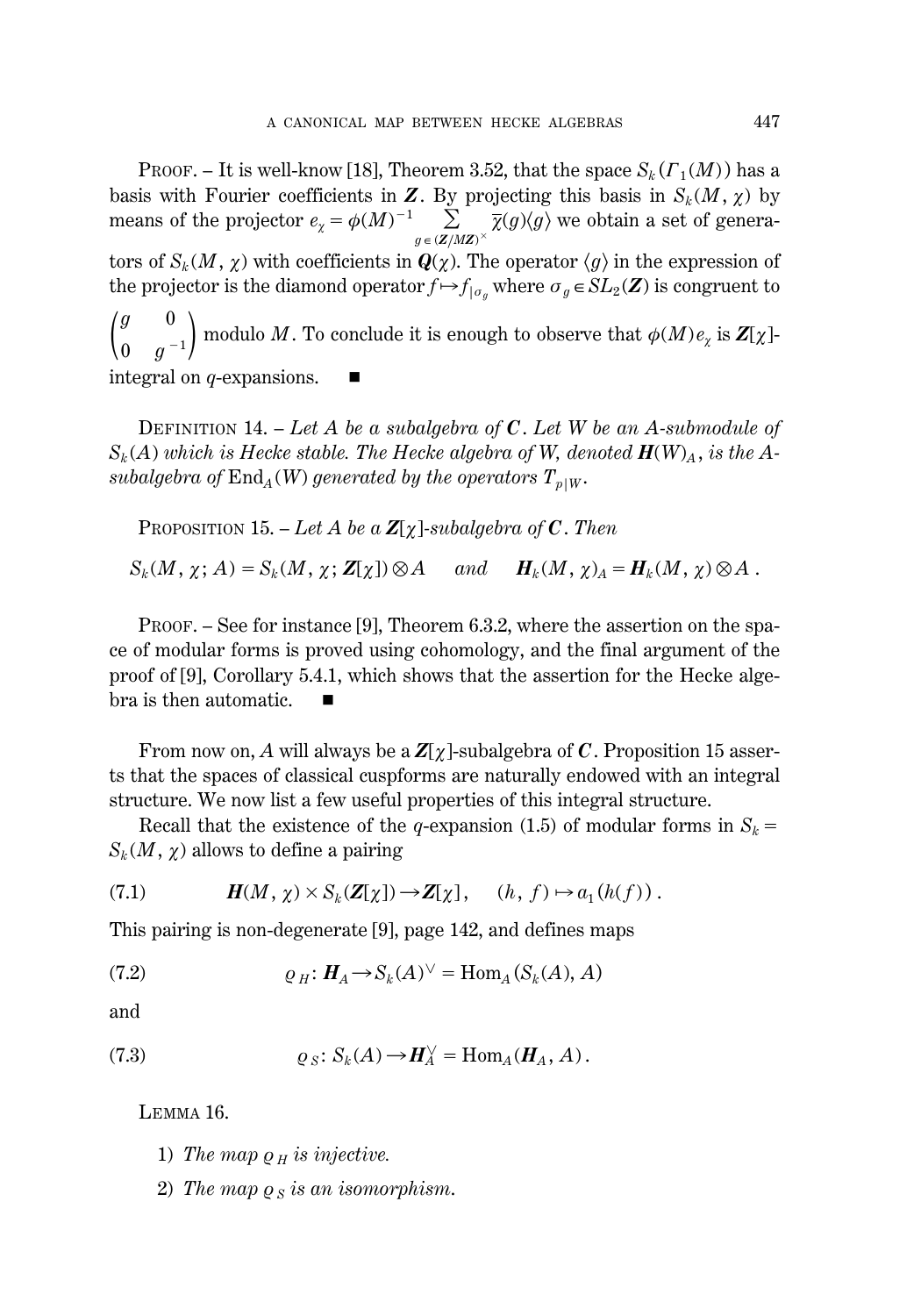PROOF. – It is well-know [18], Theorem 3.52, that the space  $S_k(\Gamma_1(M))$  has a basis with Fourier coefficients in  $\boldsymbol{Z}$ . By projecting this basis in  $S_k(M, \chi)$  by means of the projector  $e_{\chi} = \phi(M)^{-1} \sum_{g \in (Z/MZ)^{\times}} \overline{\chi}(g) \langle g \rangle$  we obtain a set of generators of  $S_k(M, \chi)$  with coefficients in  $\mathbf{Q}(\chi)$ . The operator  $\langle g \rangle$  in the expression of the projector is the diamond operator  $f \mapsto f_{|\sigma_g}$  where  $\sigma_g \in SL_2(\mathbf{Z})$  is congruent to  $\binom{g}{0}$  $\boldsymbol{0}$ 0  $\binom{0}{g}$  -1) modulo *M* . To conclude it is enough to observe that  $\phi(M) e_\chi$  is  $\mathbf{Z}[\chi]$ integral on *q*-expansions.

DEFINITION 14. – *Let A be a subalgebra of C*. *Let W be an A-submodule of*  $S_k(A)$  *which is Hecke stable. The Hecke algebra of W, denoted*  $H(W)_A$ , *is the Asubalgebra of*  $\text{End}_A(W)$  *generated by the operators*  $T_{p|W}$ .

PROPOSITION 15. – Let A be a  $\mathbb{Z}[\chi]$ -subalgebra of C. Then

 $S_k(M, \chi; A) = S_k(M, \chi; \mathbf{Z}[\chi]) \otimes A$  and  $H_k(M, \chi)_A = H_k(M, \chi) \otimes A$ .

PROOF. – See for instance [9], Theorem 6.3.2, where the assertion on the space of modular forms is proved using cohomology, and the final argument of the proof of [9], Corollary 5.4.1, which shows that the assertion for the Hecke algebra is then automatic.  $\blacksquare$ 

From now on, A will always be a  $Z[\chi]$ -subalgebra of C. Proposition 15 asserts that the spaces of classical cuspforms are naturally endowed with an integral structure. We now list a few useful properties of this integral structure.

Recall that the existence of the *q*-expansion (1.5) of modular forms in  $S_k =$  $S_k(M, \chi)$  allows to define a pairing

(7.1) 
$$
H(M, \chi) \times S_k(Z[\chi]) \to Z[\chi], \quad (h, f) \mapsto a_1(h(f)).
$$

This pairing is non-degenerate [9], page 142, and defines maps

(7.2) 
$$
\varrho_H \colon H_A \to S_k(A)^{\vee} = \text{Hom}_A(S_k(A), A)
$$

and

(7.3) 
$$
\varrho_S\colon S_k(A)\to H_A^\vee=\text{Hom}_A(H_A,A).
$$

LEMMA 16.

- 1) *The map*  $\rho$  *H is injective.*
- 2) The map  $\rho_S$  is an isomorphism.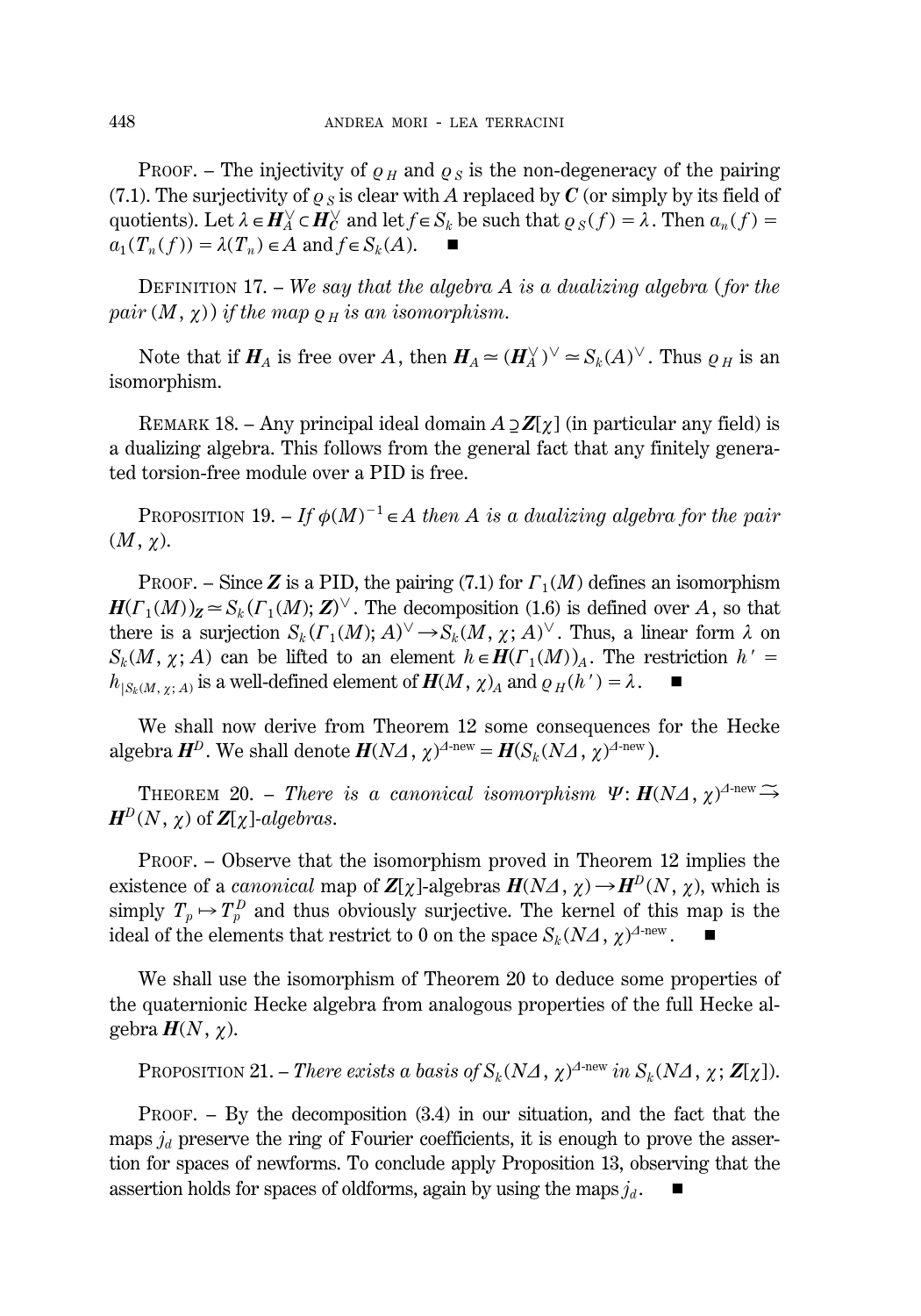PROOF. – The injectivity of  $\rho_H$  and  $\rho_S$  is the non-degeneracy of the pairing (7.1). The surjectivity of  $\rho_s$  is clear with A replaced by C (or simply by its field of quotients). Let  $\lambda \in H_A^{\vee} \subset H_C^{\vee}$  and let  $f \in S_k$  be such that  $\varrho_S(f) = \lambda$ . Then  $a_n(f) =$  $a_1(T_n(f)) = \lambda(T_n) \in A$  and  $f \in S_k(A)$ .  $\blacksquare$ 

DEFINITION 17. – *We say that the algebra A is a dualizing algebra* (*for the pair*  $(M, \chi)$  *if the map*  $\rho$  *H is an isomorphism.* 

Note that if  $H_A$  is free over *A*, then  $H_A \simeq (H_A^{\vee})^{\vee} \simeq S_k(A)^{\vee}$ . Thus  $\varrho_H$  is an isomorphism.

REMARK 18. – Any principal ideal domain  $A \supset Z[\gamma]$  (in particular any field) is a dualizing algebra. This follows from the general fact that any finitely generated torsion-free module over a PID is free.

PROPOSITION 19.  $-If \phi(M)^{-1} \in A$  then A is a dualizing algebra for the pair  $(M, \chi)$ .

PROOF. – Since **Z** is a PID, the pairing (7.1) for  $\Gamma_1(M)$  defines an isomorphism  $H(\Gamma_1(M))_Z \simeq S_k(\Gamma_1(M); Z)^\vee$ . The decomposition (1.6) is defined over *A*, so that there is a surjection  $S_k(\Gamma_1(M); A)^\vee \to S_k(M, \chi; A)^\vee$ . Thus, a linear form  $\lambda$  on  $S_k(M, \chi; A)$  can be lifted to an element  $h \in H(\Gamma_1(M))_A$ . The restriction  $h' =$  $h_{|S_k(M, \chi; A)}$  is a well-defined element of  $H(M, \chi)_A$  and  $\rho_H(h') = \lambda$ .

We shall now derive from Theorem 12 some consequences for the Hecke algebra  $\boldsymbol{H}^D$ . We shall denote  $\boldsymbol{H}(N\mathcal{A}, \chi)^{\mathcal{A}\text{-new}} = \boldsymbol{H}(S_k(N\mathcal{A}, \chi)^{\mathcal{A}\text{-new}})$ .

**THEOREM** 20. – *There is a canonical isomorphism*  $\Psi: \mathbf{H}(N\Delta, \chi)^{\Delta \text{-new}} \rightarrow$  $H^D(N, \chi)$  of  $Z[\chi]$ *-algebras*.

PROOF. – Observe that the isomorphism proved in Theorem 12 implies the existence of a *canonical* map of  $\mathbb{Z}[\chi]$ -algebras  $H(N\Lambda, \chi) \to H^D(N, \chi)$ , which is simply  $T_p \mapsto T_p^D$  and thus obviously surjective. The kernel of this map is the ideal of the elements that restrict to 0 on the space  $S_k(N\Delta, \chi)^{\Delta-\text{new}}$ .

We shall use the isomorphism of Theorem 20 to deduce some properties of the quaternionic Hecke algebra from analogous properties of the full Hecke algebra  $H(N, \chi)$ .

PROPOSITION 21. – *There exists a basis of*  $S_k(N\Delta, \chi)^{\Delta-\text{new}}$  *in*  $S_k(N\Delta, \chi; \mathbf{Z}[\chi]).$ 

PROOF. – By the decomposition (3.4) in our situation, and the fact that the maps  $j_d$  preserve the ring of Fourier coefficients, it is enough to prove the assertion for spaces of newforms. To conclude apply Proposition 13, observing that the assertion holds for spaces of oldforms, again by using the maps  $j_d$ .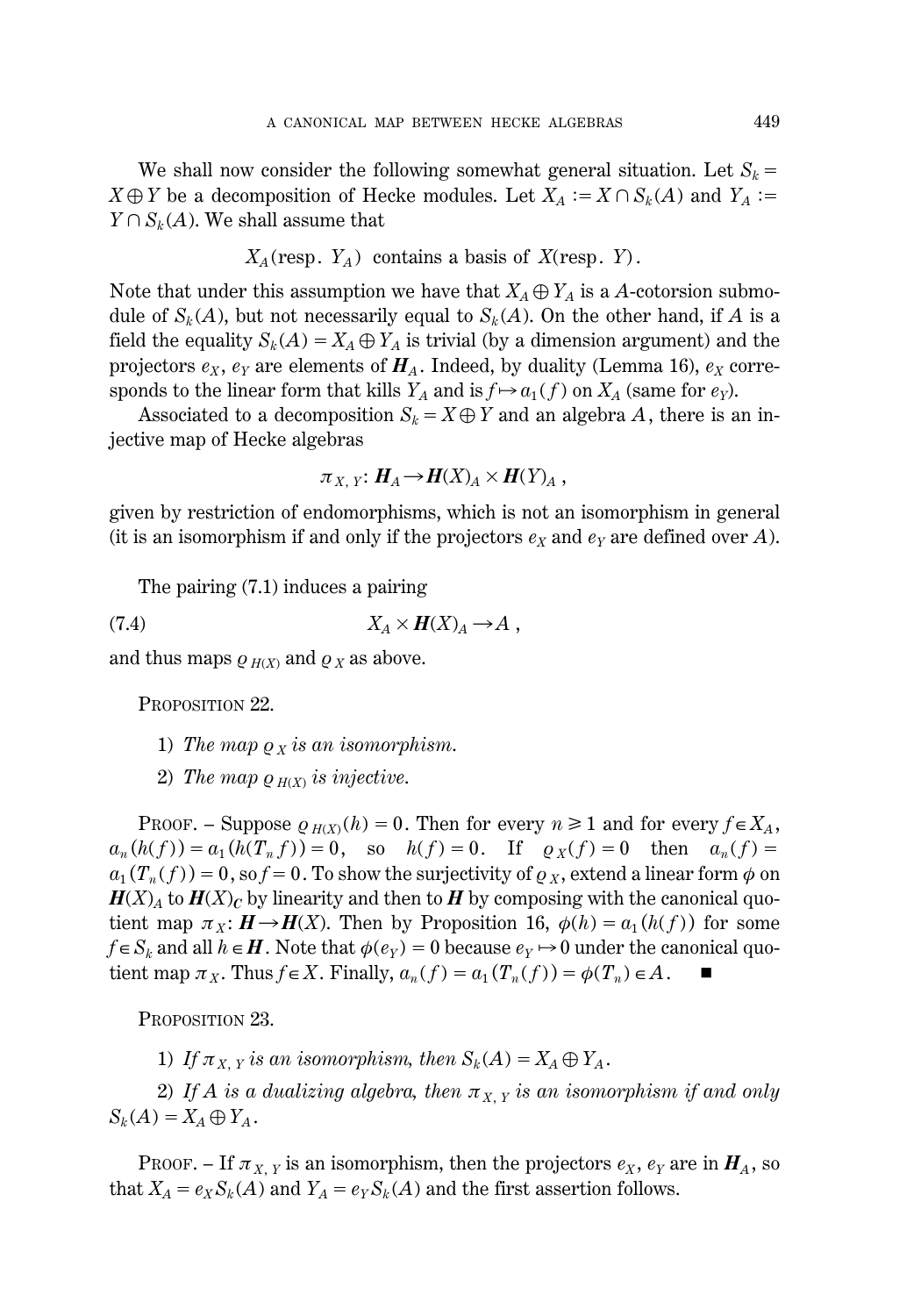We shall now consider the following somewhat general situation. Let  $S_k =$  $X \oplus Y$  be a decomposition of Hecke modules. Let  $X_A := X \cap S_k(A)$  and  $Y_A := X \oplus Y$  $Y \cap S_k(A)$ . We shall assume that

$$
X_A
$$
(resp.  $Y_A$ ) contains a basis of  $X$ (resp.  $Y$ ).

Note that under this assumption we have that  $X_A \oplus Y_A$  is a *A*-cotorsion submodule of  $S_k(A)$ , but not necessarily equal to  $S_k(A)$ . On the other hand, if A is a field the equality  $S_k(A) = X_A \oplus Y_A$  is trivial (by a dimension argument) and the projectors  $e_X$ ,  $e_Y$  are elements of  $H_A$ . Indeed, by duality (Lemma 16),  $e_X$  corresponds to the linear form that kills  $Y_A$  and is  $f \mapsto a_1(f)$  on  $X_A$  (same for  $e_Y$ ).

Associated to a decomposition  $S_k = X \oplus Y$  and an algebra *A*, there is an injective map of Hecke algebras

$$
\pi_{X, Y}: H_A \to H(X)_A \times H(Y)_A,
$$

given by restriction of endomorphisms, which is not an isomorphism in general (it is an isomorphism if and only if the projectors  $e<sub>X</sub>$  and  $e<sub>Y</sub>$  are defined over *A*).

The pairing (7.1) induces a pairing

$$
(7.4) \t\t X_A \times H(X)_A \to A ,
$$

and thus maps  $\rho_{H(X)}$  and  $\rho_X$  as above.

PROPOSITION 22.

- 1) *The map*  $\rho_X$  *is an isomorphism.*
- 2) *The map*  $\rho$   $H(X)$  *is injective.*

PROOF. – Suppose  $\rho_{H(X)}(h) = 0$ . Then for every  $n \ge 1$  and for every  $f \in X_A$ ,  $a_n(h(f)) = a_1(h(T_n f)) = 0$ , so  $h(f) = 0$ . If  $\varrho_X(f) = 0$  then  $a_n(f) = 0$  $a_1(T_n(f)) = 0$ , so  $f = 0$ . To show the surjectivity of  $\rho_X$ , extend a linear form  $\phi$  on  $H(X)$ <sup>*A*</sup> to  $H(X)$ <sup>*C*</sup> by linearity and then to *H* by composing with the canonical quotient map  $\pi_X: \mathbf{H} \to \mathbf{H}(X)$ . Then by Proposition 16,  $\phi(h) = a_1(h(f))$  for some  $f \in S_k$  and all  $h \in H$ . Note that  $\phi(e_Y) = 0$  because  $e_Y \mapsto 0$  under the canonical quotient map  $\pi_X$ . Thus  $f \in X$ . Finally,  $a_n(f) = a_1(T_n(f)) = \phi(T_n) \in A$ .

PROPOSITION 23.

1) If  $\pi_{X, Y}$  is an isomorphism, then  $S_k(A) = X_A \oplus Y_A$ .

2) If A is a dualizing algebra, then  $\pi_{X,Y}$  is an isomorphism if and only  $S_k(A) = X_A \oplus Y_A$ .

PROOF. – If  $\pi_{X, Y}$  is an isomorphism, then the projectors  $e_X$ ,  $e_Y$  are in  $H_A$ , so that  $X_A = e_X S_k(A)$  and  $Y_A = e_Y S_k(A)$  and the first assertion follows.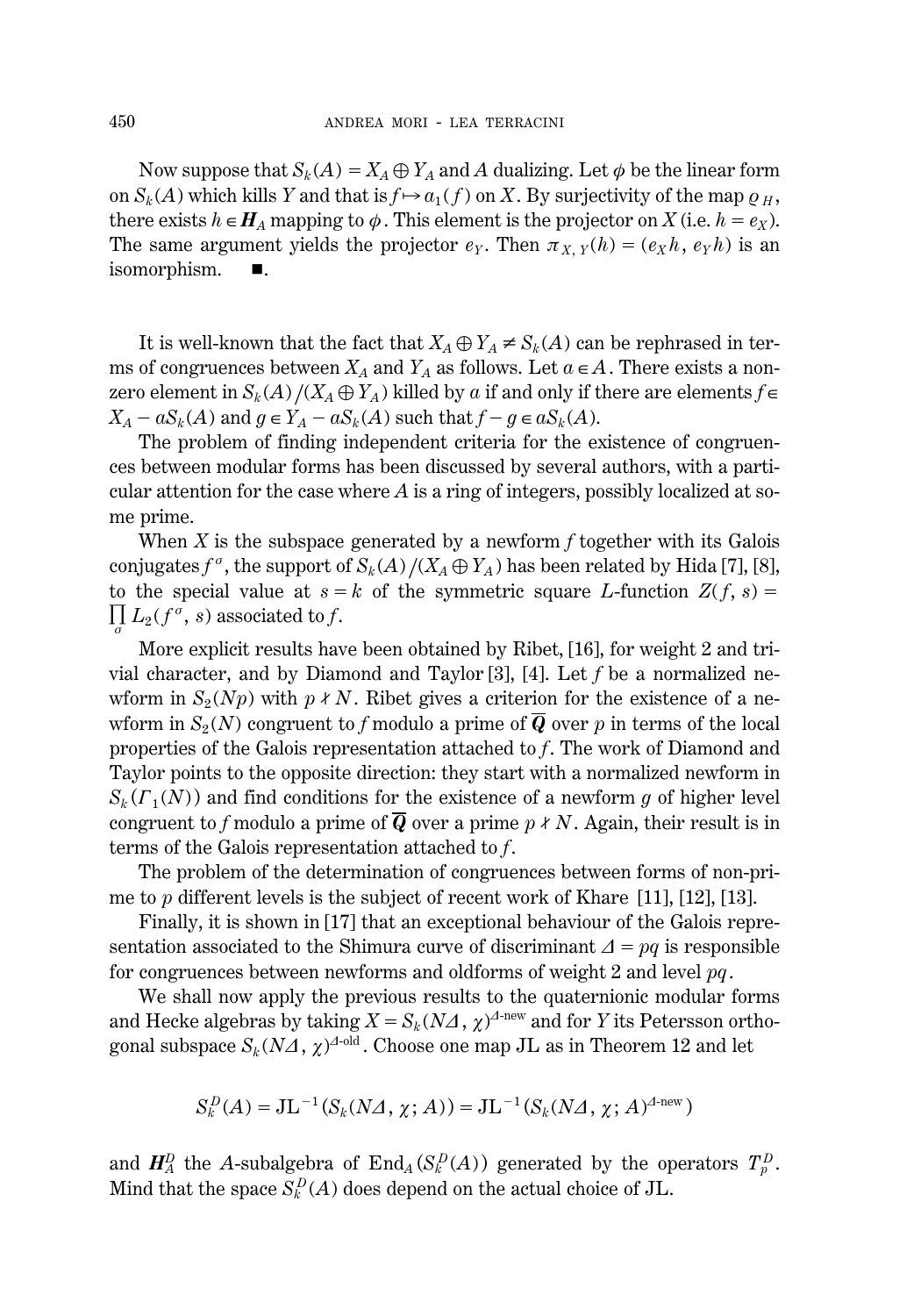Now suppose that  $S_k(A) = X_A \oplus Y_A$  and *A* dualizing. Let  $\phi$  be the linear form on  $S_k(A)$  which kills *Y* and that is  $f \mapsto a_1(f)$  on *X*. By surjectivity of the map  $g_H$ , there exists  $h \in H_A$  mapping to  $\phi$ . This element is the projector on *X* (i.e.  $h = e_X$ ). The same argument yields the projector  $e_Y$ . Then  $\pi_{X, Y}(h) = (e_X h, e_Y h)$  is an isomorphism.  $\blacksquare$ .

It is well-known that the fact that  $X_A \oplus Y_A \neq S_k(A)$  can be rephrased in terms of congruences between  $X_A$  and  $Y_A$  as follows. Let  $a \in A$ . There exists a nonzero element in  $S_k(A)/(X_A \oplus Y_A)$  killed by *a* if and only if there are elements  $f \in$  $X_A - aS_k(A)$  and  $g \in Y_A - aS_k(A)$  such that  $f - g \in aS_k(A)$ .

The problem of finding independent criteria for the existence of congruences between modular forms has been discussed by several authors, with a particular attention for the case where *A* is a ring of integers, possibly localized at some prime.

When *X* is the subspace generated by a newform *f* together with its Galois conjugates  $f^{\sigma}$ , the support of  $S_k(A)/(X_A \oplus Y_A)$  has been related by Hida [7], [8], to the special value at  $s = k$  of the symmetric square *L*-function  $Z(f, s) =$  $\prod_{\sigma} L_2(f^{\sigma}, s)$  associated to *f*.

More explicit results have been obtained by Ribet, [16], for weight 2 and trivial character, and by Diamond and Taylor [3], [4]. Let *f* be a normalized newform in  $S_2(Np)$  with  $p \nmid N$ . Ribet gives a criterion for the existence of a newform in  $S_2(N)$  congruent to f modulo a prime of  $\overline{Q}$  over p in terms of the local properties of the Galois representation attached to *f*. The work of Diamond and Taylor points to the opposite direction: they start with a normalized newform in  $S_k(\Gamma_1(N))$  and find conditions for the existence of a newform *g* of higher level congruent to *f* modulo a prime of  $\overline{Q}$  over a prime  $p \nmid N$ . Again, their result is in terms of the Galois representation attached to *f*.

The problem of the determination of congruences between forms of non-prime to *p* different levels is the subject of recent work of Khare [11], [12], [13].

Finally, it is shown in [17] that an exceptional behaviour of the Galois representation associated to the Shimura curve of discriminant  $\Delta = pq$  is responsible for congruences between newforms and oldforms of weight 2 and level *pq*.

We shall now apply the previous results to the quaternionic modular forms and Hecke algebras by taking  $X = S_k (N \Delta, \chi)^{\Delta-\text{new}}$  and for *Y* its Petersson orthogonal subspace  $S_k (N\varDelta,\, \chi)^{\varDelta\text{-old}}$  . Choose one map JL as in Theorem 12 and let

$$
S_k^D(A) = \text{J} \mathcal{L}^{-1}(S_k(N\Delta, \chi; A)) = \text{J} \mathcal{L}^{-1}(S_k(N\Delta, \chi; A)^{\Delta \text{new}})
$$

and  $H_A^D$  the *A*-subalgebra of  $\text{End}_A(S_k^D(A))$  generated by the operators  $T_p^D$ . Mind that the space  $S_k^D(A)$  does depend on the actual choice of JL.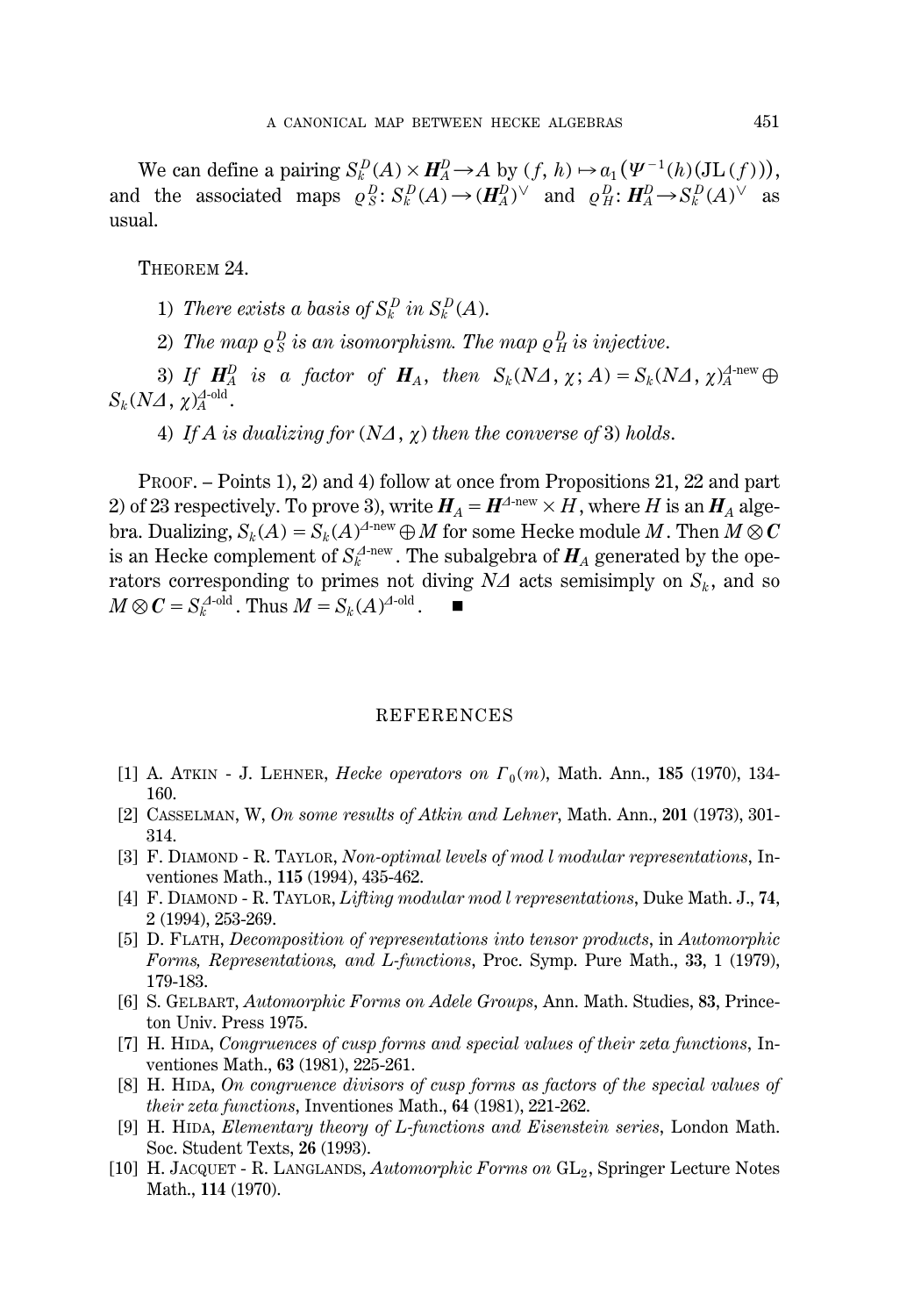We can define a pairing  $S_k^D(A) \times H_A^D \to A$  by  $(f, h) \mapsto a_1(\Psi^{-1}(h)(\operatorname{JL}(f))),$ and the associated maps  $\varrho_S^B$ :  $S_k^D(A) \to (\mathbf{H}_A^D)^{\vee}$  and  $\varrho_H^D$ :  $\mathbf{H}_A^D \to S_k^D(A)^{\vee}$  as usual.

THEOREM 24.

1) *There exists a basis of*  $S_k^D$  *in*  $S_k^D(A)$ .

2) The map  $\varrho_S^{\,D}$  is an isomorphism. The map  $\varrho_H^{\,D}$  is injective.

3) If  $\mathbf{H}_A^D$  is a factor of  $\mathbf{H}_A$ , then  $S_k(N\Delta, \chi; A) = S_k(N\Delta, \chi)^{\Delta \text{-new}}_A \oplus \mathbf{H}_A$  $S_k (N\varDelta, \, \chi)_A^{\varDelta\text{-old}}.$ 

4) If A is dualizing for  $(N\Delta, \chi)$  then the converse of 3) holds.

PROOF. – Points 1), 2) and 4) follow at once from Propositions 21, 22 and part 2) of 23 respectively. To prove 3), write  $H_A = H^{A\text{-new}} \times H$ , where *H* is an  $H_A$  algebra. Dualizing,  $S_k(A) = S_k(A)^{A\text{-new}} \oplus M$  for some Hecke module  $M$  . Then  $M \otimes C$ is an Hecke complement of  $S_k^{\varDelta\text{-new}}$  . The subalgebra of  $\pmb{H}_A$  generated by the operators corresponding to primes not diving  $N\Delta$  acts semisimply on  $S_k$ , and so  $M \otimes C = S_k^{\Delta-\text{old}}$ . Thus  $M = S_k(A)^{\Delta-\text{old}}$ .

#### REFERENCES

- [1] A. ATKIN J. LEHNER, *Hecke operators on*  $\Gamma_0(m)$ , Math. Ann., 185 (1970), 134-160.
- [2] CASSELMAN, W, *On some results of Atkin and Lehner*, Math. Ann., **201** (1973), 301- 314.
- [3] F. DIAMOND R. TAYLOR, *Non-optimal levels of mod l modular representations*, Inventiones Math., **115** (1994), 435-462.
- [4] F. DIAMOND R. TAYLOR, *Lifting modular mod l representations*, Duke Math. J., **74**, 2 (1994), 253-269.
- [5] D. FLATH, *Decomposition of representations into tensor products*, in *Automorphic Forms, Representations, and L-functions*, Proc. Symp. Pure Math., **33**, 1 (1979), 179-183.
- [6] S. GELBART, *Automorphic Forms on Adele Groups*, Ann. Math. Studies, **83**, Princeton Univ. Press 1975.
- [7] H. HIDA, *Congruences of cusp forms and special values of their zeta functions*, Inventiones Math., **63** (1981), 225-261.
- [8] H. HIDA, *On congruence divisors of cusp forms as factors of the special values of their zeta functions*, Inventiones Math., **64** (1981), 221-262.
- [9] H. HIDA, *Elementary theory of L-functions and Eisenstein series*, London Math. Soc. Student Texts, **26** (1993).
- [10] H. JACQUET R. LANGLANDS, *Automorphic Forms on* GL2 , Springer Lecture Notes Math., **114** (1970).